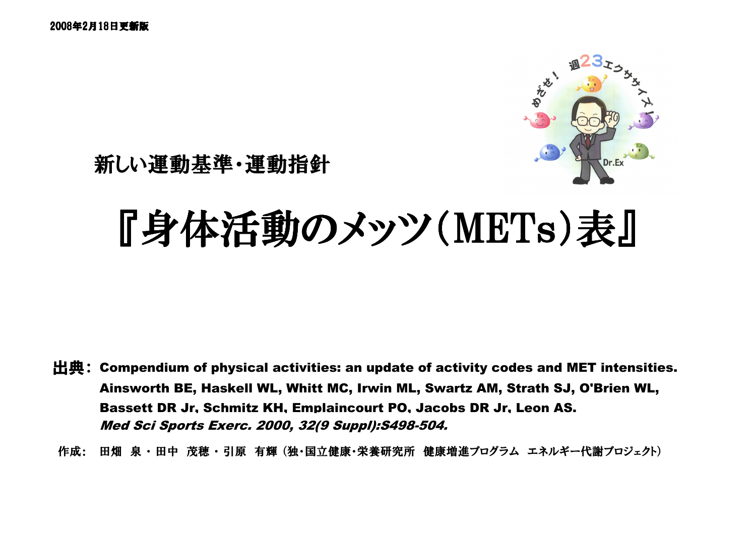

新しい運動基準・運動指針

# 『身体活動のメッツ(METs)表』

Med Sci Sports Exerc. 2000, 32(9 Suppl):S498-504.出典:Compendium of physical activities: an update of activity codes and MET intensities. Ainsworth BE, Haskell WL, Whitt MC, Irwin ML, Swartz AM, Strath SJ, O'Brien WL,Bassett DR Jr, Schmitz KH, Emplaincourt PO, Jacobs DR Jr, Leon AS.

作成: 田畑 泉・田中 茂穂・引原 有輝 (独・国立健康・栄養研究所 健康増進プログラム エネルギー代謝プロジェクト)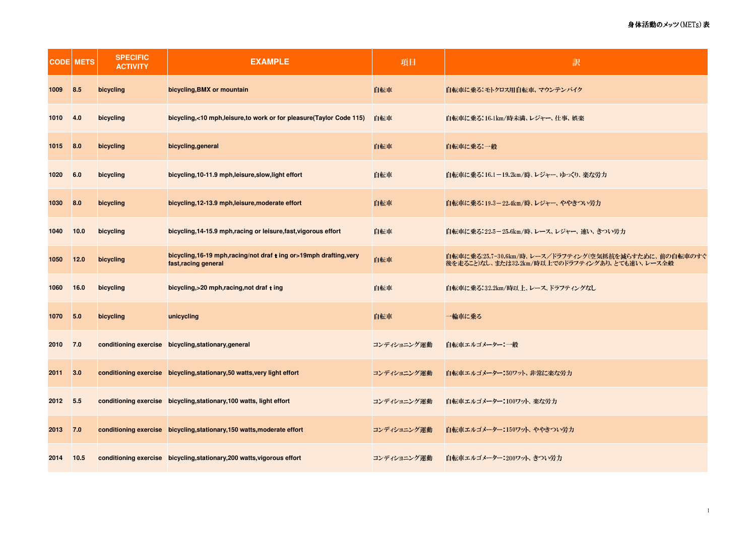|      | <b>CODE METS</b> | <b>SPECIFIC</b><br><b>ACTIVITY</b> | <b>EXAMPLE</b>                                                                              | 項目          | 訳                                                                                                       |
|------|------------------|------------------------------------|---------------------------------------------------------------------------------------------|-------------|---------------------------------------------------------------------------------------------------------|
| 1009 | 8.5              | bicycling                          | bicycling, BMX or mountain                                                                  | 自転車         | 自転車に乗る:モトクロス用自転車、マウンテンバイク                                                                               |
| 1010 | 4.0              | bicycling                          | bicycling,<10 mph,leisure,to work or for pleasure(Taylor Code 115)                          | 白転車         | 自転車に乗る116.1km/時未満、レジャー、仕事、娯楽                                                                            |
| 1015 | 8.0              | bicycling                          | bicycling, general                                                                          | 自転車         | 自転車に乗る 一般                                                                                               |
| 1020 | 6.0              | bicycling                          | bicycling, 10-11.9 mph, leisure, slow, light effort                                         | 自転車         | <b>自転車に乗る:16.1−19.2km/時、レジャー、ゆっくり、楽な労力</b>                                                              |
| 1030 | 8.0              | bicycling                          | bicycling, 12-13.9 mph, leisure, moderate effort                                            | 自転車         | 自転車に乗る:19.3-22.4km/時、レジャー、ややきつい労力                                                                       |
| 1040 | 10.0             | bicycling                          | bicycling, 14-15.9 mph, racing or leisure, fast, vigorous effort                            | 自転車         | 自転車に乗る:22.5-25.6km/時、レース、レジャー、 速い、きつい労力                                                                 |
| 1050 | 12.0             | bicycling                          | bicycling, 16-19 mph, racing/not draf t ing or>19mph drafting, very<br>fast, racing general | 自転車         | 自転車に乗る:25.7-30.6km/時、レース/ドラフティング(空気抵抗を減らすために、前の自転車のすぐ<br>後を走ること)なし、または32.2km/時以上でのドラフティングあり、とても速い、レース全般 |
| 1060 | 16.0             | bicycling                          | bicycling,>20 mph,racing,not draf t ing                                                     | 白転車         | 自転車に乗る:32.2km/時以上、レース、ドラフティングなし                                                                         |
| 1070 | 5.0              | bicycling                          | unicycling                                                                                  | 自転車         | 一輪車に乗る                                                                                                  |
| 2010 | 7.0              |                                    | conditioning exercise bicycling, stationary, general                                        | コンディショニング運動 | 自転車エルゴメーター:一般                                                                                           |
| 2011 | 3.0              |                                    | conditioning exercise bicycling, stationary, 50 watts, very light effort                    | コンディショニング運動 | 自転車エルゴメーター:50ワット、非常に楽な労力                                                                                |
| 2012 | 5.5              |                                    | conditioning exercise bicycling, stationary, 100 watts, light effort                        | コンディショニング運動 | 自転車エルゴメーター:100ワット、楽な労力                                                                                  |
| 2013 | 7.0              |                                    | conditioning exercise bicycling, stationary, 150 watts, moderate effort                     | コンディショニング運動 | 自転車エルゴメーター:150ワット、ややきつい労力                                                                               |
| 2014 | 10.5             |                                    | conditioning exercise bicycling, stationary, 200 watts, vigorous effort                     | コンディショニング運動 | 自転車エルゴメーター:200ワット、きつい労力                                                                                 |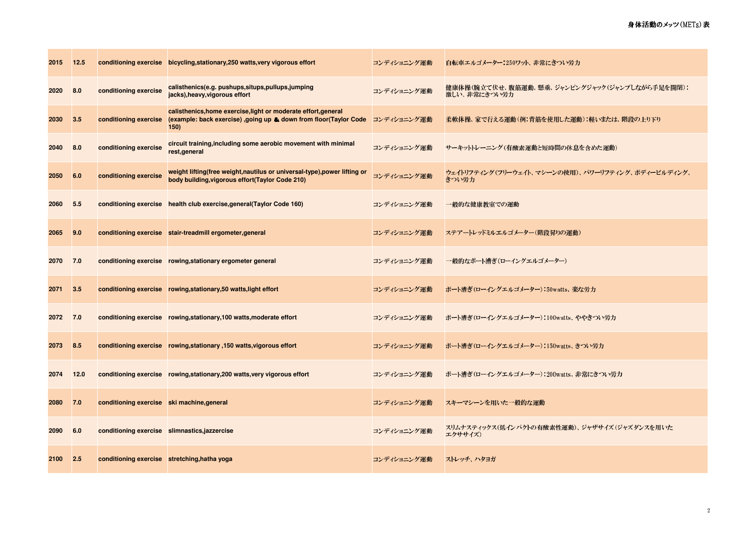| 2015 | 12.5 |                                              | conditioning exercise bicycling, stationary, 250 watts, very vigorous effort                                                                 | コンディショニング運動 | 自転車エルゴメーター:250ワット、非常にきつい労力                                    |
|------|------|----------------------------------------------|----------------------------------------------------------------------------------------------------------------------------------------------|-------------|---------------------------------------------------------------|
| 2020 | 8.0  | conditioning exercise                        | calisthenics(e.g. pushups, situps, pullups, jumping<br>jacks), heavy, vigorous effort                                                        | コンディショニング運動 | 健康体操(腕立て伏せ、腹筋運動、懸垂、ジャンピングジャック(ジャンプしながら手足を開閉):<br>激しい、非常にきつい労力 |
| 2030 | 3.5  | conditioning exercise                        | calisthenics, home exercise, light or moderate effort, general<br>(example: back exercise) , going up & down from floor (Taylor Code<br>150) | コンディショニング運動 | 柔軟体操、家で行える運動(例:背筋を使用した運動):軽いまたは、階段の上り下り                       |
| 2040 | 8.0  | conditioning exercise                        | circuit training, including some aerobic movement with minimal<br>rest, general                                                              | コンディショニング運動 | サーキットトレーニング(有酸素運動と短時間の休息を含めた運動)                               |
| 2050 | 6.0  | conditioning exercise                        | weight lifting(free weight, nautilus or universal-type), power lifting or<br>body building, vigorous effort(Taylor Code 210)                 | コンディショニング運動 | ウェイトリフティング(フリーウェイト、マシーンの使用)、パワーリフティング、ボディービルディング、<br>きつい労力    |
| 2060 | 5.5  |                                              | conditioning exercise health club exercise, general (Taylor Code 160)                                                                        | コンディショニング運動 | 一般的な健康教室での運動                                                  |
| 2065 | 9.0  |                                              | conditioning exercise stair-treadmill ergometer, general                                                                                     | コンディショニング運動 | ステアートレッドミルエルゴメーター(階段昇りの運動)                                    |
| 2070 | 7.0  |                                              | conditioning exercise rowing, stationary ergometer general                                                                                   | コンディショニング運動 | 一般的なボート漕ぎ(ローイングエルゴメーター)                                       |
| 2071 | 3.5  |                                              | conditioning exercise rowing, stationary, 50 watts, light effort                                                                             | コンディショニング運動 | ポート漕ぎ(ローイングエルゴメーター):50watts、楽な労力                              |
| 2072 | 7.0  |                                              | conditioning exercise rowing, stationary, 100 watts, moderate effort                                                                         | コンディショニング運動 | ボート漕ぎ(ローイングエルゴメーター) 100watts、ややきつい労力                          |
| 2073 | 8.5  |                                              | conditioning exercise rowing, stationary, 150 watts, vigorous effort                                                                         | コンディショニング運動 | ポート漕ぎ(ローイングエルゴメーター):150watts、きつい労力                            |
| 2074 | 12.0 |                                              | conditioning exercise        rowing, stationary, 200 watts, very vigorous effort                                                             | コンディショニング運動 | ボート漕ぎ(ローイングエルゴメーター) 200watts、非常にきつい労力                         |
| 2080 | 7.0  | conditioning exercise ski machine, general   |                                                                                                                                              | コンディショニング運動 | スキーマシーンを用いた一般的な運動                                             |
| 2090 | 6.0  |                                              | conditioning exercise slimnastics, jazzercise                                                                                                | コンディショニング運動 | スリムナスティックス(低インパクトの有酸素性運動)、ジャザサイズ(ジャズダンスを用いた<br>エクササイズ)        |
| 2100 | 2.5  | conditioning exercise stretching, hatha yoga |                                                                                                                                              | コンディショニング運動 | ストレッチ、ハタヨガ                                                    |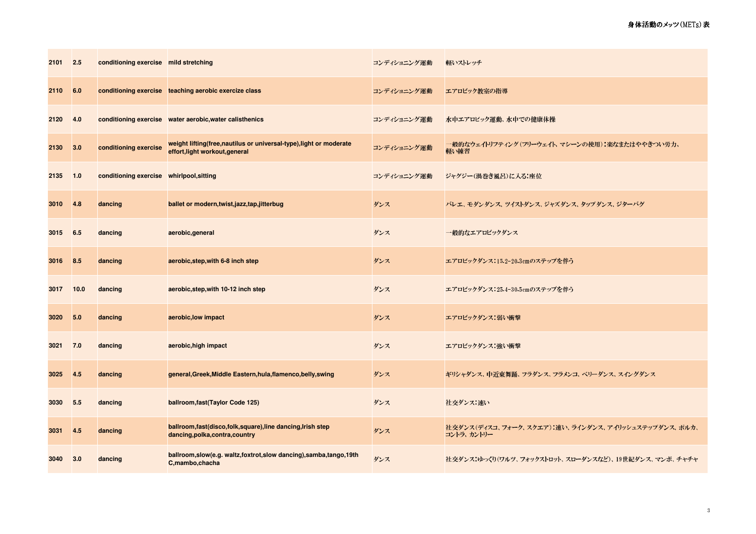| 2101 | 2.5  | conditioning exercise mild stretching    |                                                                                                       | コンディショニング運動 | 軽いストレッチ                                                          |
|------|------|------------------------------------------|-------------------------------------------------------------------------------------------------------|-------------|------------------------------------------------------------------|
| 2110 | 6.0  |                                          | conditioning exercise teaching aerobic exercize class                                                 | コンディショニング運動 | エアロビック教室の指導                                                      |
| 2120 | 4.0  |                                          | conditioning exercise water aerobic, water calisthenics                                               | コンディショニング運動 | 水中エアロビック運動、水中での健康体操                                              |
| 2130 | 3.0  | conditioning exercise                    | weight lifting(free, nautilus or universal-type), light or moderate<br>effort, light workout, general | コンディショニング運動 | 一般的なウェイトリフティング(フリーウェイト、マシーンの使用):楽なまたはややきつい労力、<br>軽い練習            |
| 2135 | 1.0  | conditioning exercise whirlpool, sitting |                                                                                                       | コンディショニング運動 | ジャグジー(渦巻き風呂)に入る:座位                                               |
| 3010 | 4.8  | dancing                                  | ballet or modern, twist, jazz, tap, jitterbug                                                         | ダンス         | バレエ、モダンダンス、ツイストダンス、ジャズダンス、タップダンス、ジターバグ                           |
| 3015 | 6.5  | dancing                                  | aerobic, general                                                                                      | ダンス         | 一般的なエアロビックダンス                                                    |
| 3016 | 8.5  | dancing                                  | aerobic, step, with 6-8 inch step                                                                     | ダンス         | エアロビックダンス:15.2-20.3cmのステップを伴う                                    |
| 3017 | 10.0 | dancing                                  | aerobic, step, with 10-12 inch step                                                                   | ダンス         | エアロビックダンス:25.4-30.5cmのステップを伴う                                    |
| 3020 | 5.0  | dancing                                  | aerobic, low impact                                                                                   | ダンス         | エアロビックダンス 弱い衝撃                                                   |
| 3021 | 7.0  | dancing                                  | aerobic, high impact                                                                                  | ダンス         | エアロビックダンス 強い衝撃                                                   |
| 3025 | 4.5  | dancing                                  | general, Greek, Middle Eastern, hula, flamenco, belly, swing                                          | ダンス         | ギリシャダンス、中近東舞踊、フラダンス、フラメンコ、ベリーダンス、スイングダンス                         |
| 3030 | 5.5  | dancing                                  | ballroom, fast (Taylor Code 125)                                                                      | ダンス         | 社交ダンス 速い                                                         |
| 3031 | 4.5  | dancing                                  | ballroom, fast(disco, folk, square), line dancing, Irish step<br>dancing,polka,contra,country         | ダンス         | 社交ダンス(ディスコ、フォーク、スクエア):速い、ラインダンス、アイリッシュステップダンス、ポルカ、<br>コントラ、カントリー |
| 3040 | 3.0  | dancing                                  | ballroom,slow(e.g. waltz,foxtrot,slow dancing),samba,tango,19th<br>C,mambo,chacha                     | ダンス         | 社交ダンス:ゆっくり(ワルツ、フォックストロット、スローダンスなど)、19世紀ダンス、マンボ、チャチャ              |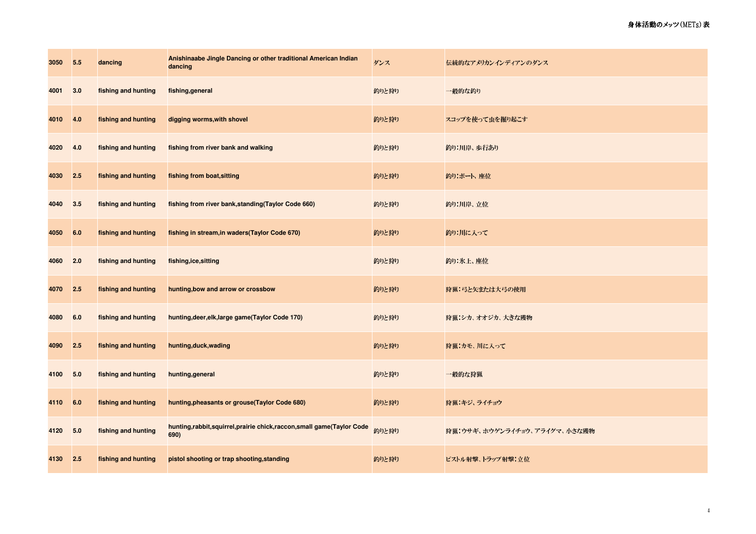| 3050 | 5.5 | dancing             | Anishinaabe Jingle Dancing or other traditional American Indian<br>dancing        | ダンス   | 伝統的なアメリカンインディアンのダンス          |
|------|-----|---------------------|-----------------------------------------------------------------------------------|-------|------------------------------|
| 4001 | 3.0 | fishing and hunting | fishing, general                                                                  | 釣りと狩り | 一般的な釣り                       |
| 4010 | 4.0 | fishing and hunting | digging worms, with shovel                                                        | 釣りと狩り | スコップを使って虫を掘り起こす              |
| 4020 | 4.0 | fishing and hunting | fishing from river bank and walking                                               | 釣りと狩り | 釣り:川岸、歩行あり                   |
| 4030 | 2.5 | fishing and hunting | fishing from boat, sitting                                                        | 釣りと狩り | 釣り ボート 座位                    |
| 4040 | 3.5 | fishing and hunting | fishing from river bank, standing (Taylor Code 660)                               | 釣りと狩り | 釣り:川岸、立位                     |
| 4050 | 6.0 | fishing and hunting | fishing in stream, in waders (Taylor Code 670)                                    | 釣りと狩り | 釣り:川に入って                     |
| 4060 | 2.0 | fishing and hunting | fishing, ice, sitting                                                             | 釣りと狩り | 釣り:氷上、座位                     |
| 4070 | 2.5 | fishing and hunting | hunting, bow and arrow or crossbow                                                | 釣りと狩り | 狩猟:弓と矢または大弓の使用               |
| 4080 | 6.0 | fishing and hunting | hunting, deer, elk, large game (Taylor Code 170)                                  | 釣りと狩り | 狩猟 シカ オオジカ 大きな獲物             |
| 4090 | 2.5 | fishing and hunting | hunting, duck, wading                                                             | 釣りと狩り | 狩猟:カモ、川に入って                  |
| 4100 | 5.0 | fishing and hunting | hunting, general                                                                  | 釣りと狩り | 一般的な狩猟                       |
| 4110 | 6.0 | fishing and hunting | hunting, pheasants or grouse (Taylor Code 680)                                    | 釣りと狩り | 狩猟:キジ、ライチョウ                  |
| 4120 | 5.0 | fishing and hunting | hunting, rabbit, squirrel, prairie chick, raccon, small game (Taylor Code<br>690) | 釣りと狩り | 狩猟:ウサギ、ホウゲンライチョウ、アライグマ、小さな獲物 |
| 4130 | 2.5 | fishing and hunting | pistol shooting or trap shooting, standing                                        | 釣りと狩り | ピストル射撃、トラップ射撃・立位             |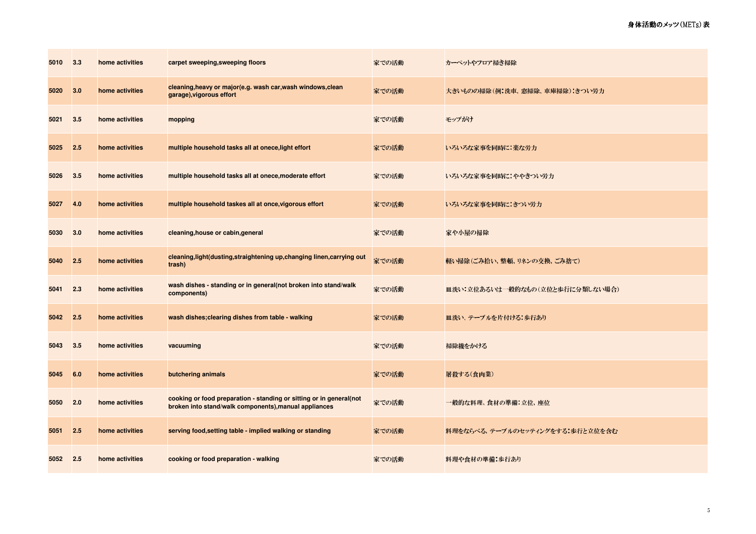| 5010 | 3.3 | home activities | carpet sweeping, sweeping floors                                                                                             | 家での活動 | カーペットやフロア掃き掃除                   |
|------|-----|-----------------|------------------------------------------------------------------------------------------------------------------------------|-------|---------------------------------|
| 5020 | 3.0 | home activities | cleaning, heavy or major (e.g. wash car, wash windows, clean<br>garage), vigorous effort                                     | 家での活動 | 大きいものの掃除(例:洗車、窓掃除、車庫掃除):きつい労力   |
| 5021 | 3.5 | home activities | mopping                                                                                                                      | 家での活動 | モップがけ                           |
| 5025 | 2.5 | home activities | multiple household tasks all at onece, light effort                                                                          | 家での活動 | いろいろな家事を同時に:楽な労力                |
| 5026 | 3.5 | home activities | multiple household tasks all at onece, moderate effort                                                                       | 家での活動 | いろいろな家事を同時に:ややきつい労力             |
| 5027 | 4.0 | home activities | multiple household taskes all at once, vigorous effort                                                                       | 家での活動 | いろいろな家事を同時にきつい労力                |
| 5030 | 3.0 | home activities | cleaning, house or cabin, general                                                                                            | 家での活動 | 家や小屋の掃除                         |
| 5040 | 2.5 | home activities | cleaning, light (dusting, straightening up, changing linen, carrying out<br>trash)                                           | 家での活動 | 軽い掃除(ごみ拾い、整頓、リネンの交換、ごみ捨て)       |
| 5041 | 2.3 | home activities | wash dishes - standing or in general(not broken into stand/walk<br>components)                                               | 家での活動 | 皿洗い:立位あるいは一般的なもの(立位と歩行に分類しない場合) |
| 5042 | 2.5 | home activities | wash dishes; clearing dishes from table - walking                                                                            | 家での活動 | 皿洗い、テーブルを片付ける:歩行あり              |
| 5043 | 3.5 | home activities | vacuuming                                                                                                                    | 家での活動 | 掃除機をかける                         |
| 5045 | 6.0 | home activities | butchering animals                                                                                                           | 家での活動 | 屠殺する(食肉業)                       |
| 5050 | 2.0 | home activities | cooking or food preparation - standing or sitting or in general(not<br>broken into stand/walk components), manual appliances | 家での活動 | 一般的な料理、食材の準備:立位、座位              |
| 5051 | 2.5 | home activities | serving food, setting table - implied walking or standing                                                                    | 家での活動 | 料理をならべる、テーブルのセッティングをする:歩行と立位を含む |
| 5052 | 2.5 | home activities | cooking or food preparation - walking                                                                                        | 家での活動 | 料理や食材の準備:歩行あり                   |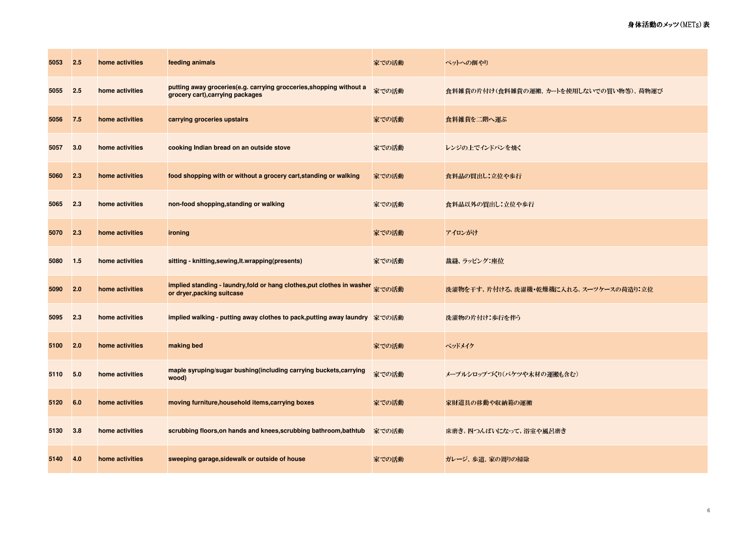| 5053 | 2.5 | home activities | feeding animals                                                                                         | 家での活動 | ペットへの餌やり                               |
|------|-----|-----------------|---------------------------------------------------------------------------------------------------------|-------|----------------------------------------|
| 5055 | 2.5 | home activities | putting away groceries(e.g. carrying grocceries, shopping without a<br>grocery cart), carrying packages | 家での活動 | 食料雑貨の片付け(食料雑貨の運搬、カートを使用しないでの買い物等)、荷物運び |
| 5056 | 7.5 | home activities | carrying groceries upstairs                                                                             | 家での活動 | 食料雑貨を二階へ運ぶ                             |
| 5057 | 3.0 | home activities | cooking Indian bread on an outside stove                                                                | 家での活動 | レンジの上でインドパンを焼く                         |
| 5060 | 2.3 | home activities | food shopping with or without a grocery cart, standing or walking                                       | 家での活動 | 食料品の買出し:立位や歩行                          |
| 5065 | 2.3 | home activities | non-food shopping, standing or walking                                                                  | 家での活動 | 食料品以外の買出し:立位や歩行                        |
| 5070 | 2.3 | home activities | ironing                                                                                                 | 家での活動 | アイロンがけ                                 |
| 5080 | 1.5 | home activities | sitting - knitting, sewing, It.wrapping(presents)                                                       | 家での活動 | 裁縫、ラッピング:座位                            |
| 5090 | 2.0 | home activities | implied standing - laundry, fold or hang clothes, put clothes in washer<br>or dryer, packing suitcase   | 家での活動 | 洗濯物を干す、片付ける、洗濯機・乾燥機に入れる、スーツケースの荷造り:立位  |
| 5095 | 2.3 | home activities | implied walking - putting away clothes to pack,putting away laundry 家での活動                               |       | 洗濯物の片付け:歩行を伴う                          |
| 5100 | 2.0 | home activities | making bed                                                                                              | 家での活動 | ベッドメイク                                 |
| 5110 | 5.0 | home activities | maple syruping/sugar bushing(including carrying buckets,carrying<br>wood)                               | 家での活動 | メープルシロップ づくり(バケツや木材の運搬も含む)             |
| 5120 | 6.0 | home activities | moving furniture, household items, carrying boxes                                                       | 家での活動 | 家財道具の移動や収納箱の運搬                         |
| 5130 | 3.8 | home activities | scrubbing floors, on hands and knees, scrubbing bathroom, bathtub                                       | 家での活動 | 床磨き、四つんばいになって、浴室や風呂磨き                  |
| 5140 | 4.0 | home activities | sweeping garage, sidewalk or outside of house                                                           | 家での活動 | ガレージ、歩道、家の周りの掃除                        |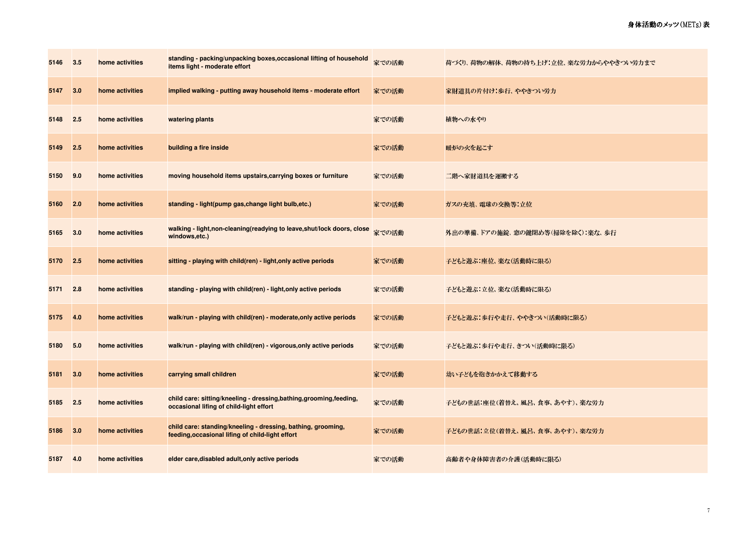| 5146 | 3.5 | home activities | standing - packing/unpacking boxes, occasional lifting of household<br>items light - moderate effort             | 家での活動 | 荷づくり、荷物の解体、荷物の持ち上げ:立位、楽な労力からややきつい労力まで |
|------|-----|-----------------|------------------------------------------------------------------------------------------------------------------|-------|---------------------------------------|
| 5147 | 3.0 | home activities | implied walking - putting away household items - moderate effort                                                 | 家での活動 | 家財道具の片付け:歩行、ややきつい労力                   |
| 5148 | 2.5 | home activities | watering plants                                                                                                  | 家での活動 | 植物への水やり                               |
| 5149 | 2.5 | home activities | building a fire inside                                                                                           | 家での活動 | 暖炉の火を起こす                              |
| 5150 | 9.0 | home activities | moving household items upstairs, carrying boxes or furniture                                                     | 家での活動 | 二階へ家財道具を運搬する                          |
| 5160 | 2.0 | home activities | standing - light(pump gas, change light bulb, etc.)                                                              | 家での活動 | ガスの充填、電球の交換等:立位                       |
| 5165 | 3.0 | home activities | walking - light, non-cleaning (readying to leave, shut/lock doors, close<br>windows,etc.)                        | 家での活動 | 外出の準備、ドアの施錠、窓の鍵閉め等(掃除を除く):楽な、歩行       |
| 5170 | 2.5 | home activities | sitting - playing with child(ren) - light, only active periods                                                   | 家での活動 | 子どもと遊ぶ:座位、楽な(活動時に限る)                  |
| 5171 | 2.8 | home activities | standing - playing with child(ren) - light, only active periods                                                  | 家での活動 | 子どもと遊ぶ:立位、楽な(活動時に限る)                  |
| 5175 | 4.0 | home activities | walk/run - playing with child(ren) - moderate, only active periods                                               | 家での活動 | 子どもと遊ぶ:歩行や走行、ややきつい(活動時に限る)            |
| 5180 | 5.0 | home activities | walk/run - playing with child(ren) - vigorous, only active periods                                               | 家での活動 | 子どもと遊ぶ:歩行や走行、きつい(活動時に限る)              |
| 5181 | 3.0 | home activities | carrying small children                                                                                          | 家での活動 | 幼い子どもを抱きかかえて移動する                      |
| 5185 | 2.5 | home activities | child care: sitting/kneeling - dressing, bathing, grooming, feeding,<br>occasional lifing of child-light effort  | 家での活動 | 子どもの世話:座位(着替え、風呂、食事、あやす)、楽な労力         |
| 5186 | 3.0 | home activities | child care: standing/kneeling - dressing, bathing, grooming,<br>feeding, occasional lifing of child-light effort | 家での活動 | 子どもの世話:立位(着替え、風呂、食事、あやす)、楽な労力         |
| 5187 | 4.0 | home activities | elder care, disabled adult, only active periods                                                                  | 家での活動 | 高齢者や身体障害者の介護(活動時に限る)                  |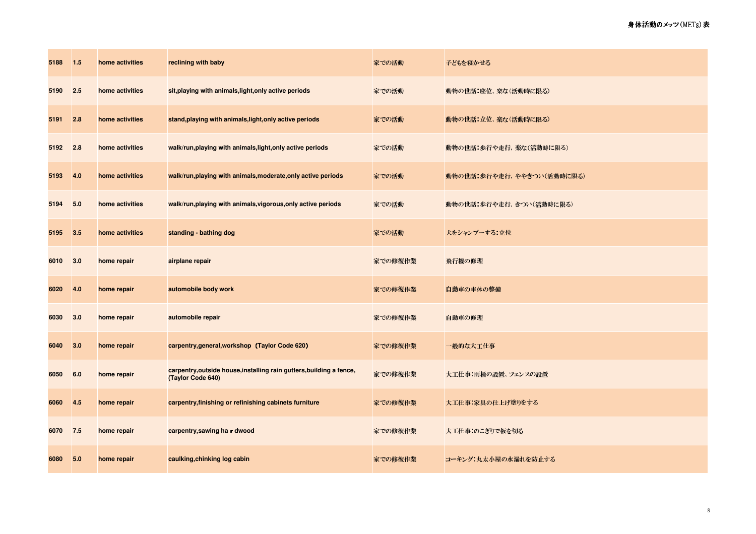| 5188 | $1.5$ | home activities | reclining with baby                                                                       | 家での活動   | 子どもを寝かせる                  |
|------|-------|-----------------|-------------------------------------------------------------------------------------------|---------|---------------------------|
| 5190 | 2.5   | home activities | sit, playing with animals, light, only active periods                                     | 家での活動   | 動物の世話:座位、楽な(活動時に限る)       |
| 5191 | 2.8   | home activities | stand, playing with animals, light, only active periods                                   | 家での活動   | 動物の世話:立位、楽な(活動時に限る)       |
| 5192 | 2.8   | home activities | walk/run, playing with animals, light, only active periods                                | 家での活動   | 動物の世話:歩行や走行、楽な(活動時に限る)    |
| 5193 | 4.0   | home activities | walk/run, playing with animals, moderate, only active periods                             | 家での活動   | 動物の世話:歩行や走行、ややきつい(活動時に限る) |
| 5194 | 5.0   | home activities | walk/run, playing with animals, vigorous, only active periods                             | 家での活動   | 動物の世話:歩行や走行、きつい(活動時に限る)   |
| 5195 | 3.5   | home activities | standing - bathing dog                                                                    | 家での活動   | 犬をシャンプーする 立位              |
| 6010 | 3.0   | home repair     | airplane repair                                                                           | 家での修復作業 | 飛行機の修理                    |
| 6020 | 4.0   | home repair     | automobile body work                                                                      | 家での修復作業 | 自動車の車体の整備                 |
| 6030 | 3.0   | home repair     | automobile repair                                                                         | 家での修復作業 | 自動車の修理                    |
| 6040 | 3.0   | home repair     | carpentry, general, workshop (Taylor Code 620)                                            | 家での修復作業 | 一般的な大工仕事                  |
| 6050 | 6.0   | home repair     | carpentry, outside house, installing rain gutters, building a fence,<br>(Taylor Code 640) | 家での修復作業 | 大工仕事:雨桶の設置、フェンスの設置        |
| 6060 | 4.5   | home repair     | carpentry, finishing or refinishing cabinets furniture                                    | 家での修復作業 | 大工仕事:家具の仕上げ塗りをする          |
| 6070 | 7.5   | home repair     | carpentry, sawing ha r dwood                                                              | 家での修復作業 | 大工仕事:のこぎりで板を切る            |
| 6080 | 5.0   | home repair     | caulking, chinking log cabin                                                              | 家での修復作業 | コーキング:丸太小屋の水漏れを防止する       |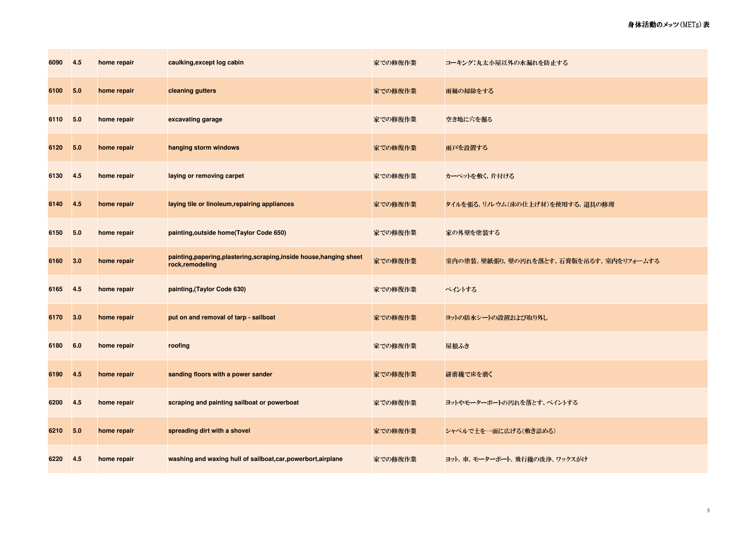| 6090 | 4.5 | home repair | caulking, except log cabin                                                               | 家での修復作業 | コーキング:丸太小屋以外の水漏れを防止する                  |
|------|-----|-------------|------------------------------------------------------------------------------------------|---------|----------------------------------------|
| 6100 | 5.0 | home repair | cleaning gutters                                                                         | 家での修復作業 | 雨樋の掃除をする                               |
| 6110 | 5.0 | home repair | excavating garage                                                                        | 家での修復作業 | 空き地に穴を掘る                               |
| 6120 | 5.0 | home repair | hanging storm windows                                                                    | 家での修復作業 | 雨戸を設置する                                |
| 6130 | 4.5 | home repair | laying or removing carpet                                                                | 家での修復作業 | カーペットを敷く、片付ける                          |
| 6140 | 4.5 | home repair | laying tile or linoleum, repairing appliances                                            | 家での修復作業 | タイルを張る、リルウム(床の仕上げ材)を使用する、道具の修理         |
| 6150 | 5.0 | home repair | painting, outside home(Taylor Code 650)                                                  | 家での修復作業 | 家の外壁を塗装する                              |
| 6160 | 3.0 | home repair | painting, papering, plastering, scraping, inside house, hanging sheet<br>rock,remodeling | 家での修復作業 | 室内の塗装、壁紙張り、壁の汚れを落とす、石膏版を吊るす、室内をリフォームする |
| 6165 | 4.5 | home repair | painting, (Taylor Code 630)                                                              | 家での修復作業 | ペイントする                                 |
| 6170 | 3.0 | home repair | put on and removal of tarp - sailboat                                                    | 家での修復作業 | ヨットの防水シートの設置および取り外し                    |
| 6180 | 6.0 | home repair | roofing                                                                                  | 家での修復作業 | 屋根ふき                                   |
| 6190 | 4.5 | home repair | sanding floors with a power sander                                                       | 家での修復作業 | 研磨機で床を磨く                               |
| 6200 | 4.5 | home repair | scraping and painting sailboat or powerboat                                              | 家での修復作業 | ヨットやモーターボートの汚れを落とす、ペイントする              |
| 6210 | 5.0 | home repair | spreading dirt with a shovel                                                             | 家での修復作業 | シャベルで土を一面に広げる(敷き詰める)                   |
| 6220 | 4.5 | home repair | washing and waxing hull of sailboat, car, powerbort, airplane                            | 家での修復作業 | ヨット、車、モーターボート、飛行機の洗浄、ワックスがけ            |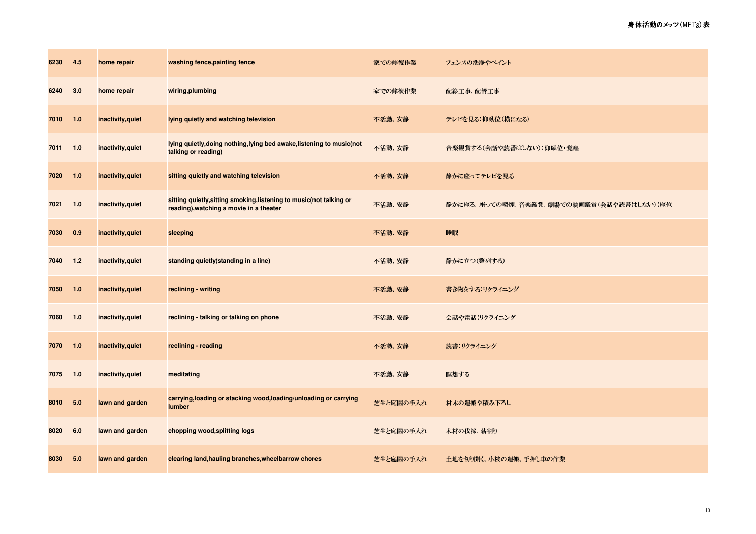| 6230 | 4.5   | home repair       | washing fence, painting fence                                                                                   | 家での修復作業   | フェンスの洗浄やペイント                             |
|------|-------|-------------------|-----------------------------------------------------------------------------------------------------------------|-----------|------------------------------------------|
| 6240 | 3.0   | home repair       | wiring, plumbing                                                                                                | 家での修復作業   | 配線 工事、配管工事                               |
| 7010 | 1.0   | inactivity, quiet | lying quietly and watching television                                                                           | 不活動、安静    | テレビを見る:仰臥位(横になる)                         |
| 7011 | 1.0   | inactivity, quiet | lying quietly, doing nothing, lying bed awake, listening to music (not<br>talking or reading)                   | 不活動、安静    | 音楽観賞する(会話や読書はしない):仰臥位・覚醒                 |
| 7020 | 1.0   | inactivity, quiet | sitting quietly and watching television                                                                         | 不活動、安静    | 静かに座ってテレビを見る                             |
| 7021 | 1.0   | inactivity, quiet | sitting quietly, sitting smoking, listening to music (not talking or<br>reading), watching a movie in a theater | 不活動、安静    | 静かに座る、座っての喫煙、音楽鑑賞、劇場での映画鑑賞(会話や読書はしない):座位 |
| 7030 | 0.9   | inactivity, quiet | sleeping                                                                                                        | 不活動、安静    | 睡眠                                       |
| 7040 | $1.2$ | inactivity, quiet | standing quietly(standing in a line)                                                                            | 不活動、安静    | 静かに立つ(整列する)                              |
| 7050 | 1.0   | inactivity, quiet | reclining - writing                                                                                             | 不活動、安静    | 書き物をする:リクライニング                           |
| 7060 | $1.0$ | inactivity, quiet | reclining - talking or talking on phone                                                                         | 不活動、安静    | 会話や電話:リクライニング                            |
| 7070 | 1.0   | inactivity, quiet | reclining - reading                                                                                             | 不活動、安静    | 読書:リクライニング                               |
| 7075 | 1.0   | inactivity, quiet | meditating                                                                                                      | 不活動、安静    | 瞑想する                                     |
| 8010 | 5.0   | lawn and garden   | carrying, loading or stacking wood, loading/unloading or carrying<br>lumber                                     | 芝生と庭園の手入れ | 材木の運搬や積み下ろし                              |
| 8020 | 6.0   | lawn and garden   | chopping wood, splitting logs                                                                                   | 芝生と庭園の手入れ | 木材の伐採、薪割り                                |
| 8030 | 5.0   | lawn and garden   | clearing land, hauling branches, wheelbarrow chores                                                             | 芝生と庭園の手入れ | 土地を切り開く、小枝の運搬、手押し車の作業                    |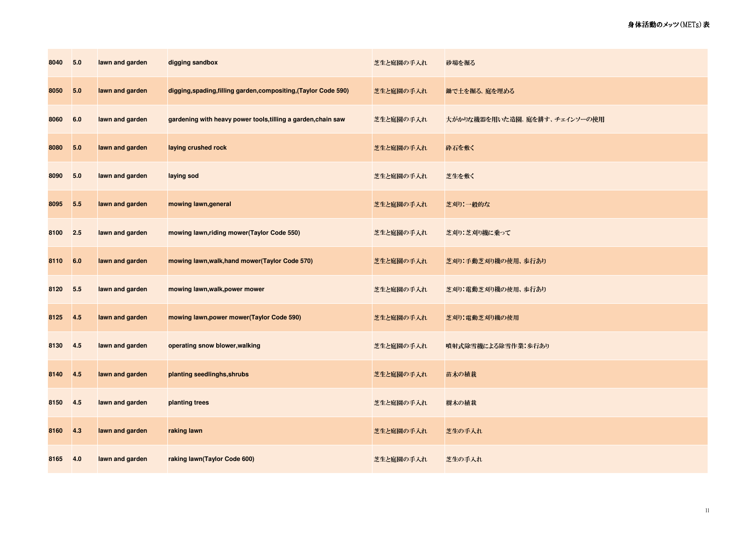| 8040 | 5.0 | lawn and garden | digging sandbox                                                  | 芝生と庭園の手入れ | 砂場を掘る                        |
|------|-----|-----------------|------------------------------------------------------------------|-----------|------------------------------|
| 8050 | 5.0 | lawn and garden | digging, spading, filling garden, compositing, (Taylor Code 590) | 芝生と庭園の手入れ | 鋤で土を掘る、庭を埋める                 |
| 8060 | 6.0 | lawn and garden | gardening with heavy power tools, tilling a garden, chain saw    | 芝生と庭園の手入れ | 大がかりな機器を用いた造園、庭を耕す、チェインソーの使用 |
| 8080 | 5.0 | lawn and garden | laying crushed rock                                              | 芝生と庭園の手入れ | 砕石を敷く                        |
| 8090 | 5.0 | lawn and garden | laying sod                                                       | 芝生と庭園の手入れ | 芝生を敷く                        |
| 8095 | 5.5 | lawn and garden | mowing lawn, general                                             | 芝生と庭園の手入れ | 芝刈り:一般的な                     |
| 8100 | 2.5 | lawn and garden | mowing lawn, riding mower(Taylor Code 550)                       | 芝生と庭園の手入れ | 芝刈り 芝刈り機に乗って                 |
| 8110 | 6.0 | lawn and garden | mowing lawn, walk, hand mower(Taylor Code 570)                   | 芝生と庭園の手入れ | 芝刈り:手動芝刈り機の使用、歩行あり           |
| 8120 | 5.5 | lawn and garden | mowing lawn, walk, power mower                                   | 芝生と庭園の手入れ | 芝刈り:電動芝刈り機の使用、歩行あり           |
| 8125 | 4.5 | lawn and garden | mowing lawn, power mower (Taylor Code 590)                       | 芝生と庭園の手入れ | 芝刈り:電動芝刈り機の使用                |
| 8130 | 4.5 | lawn and garden | operating snow blower, walking                                   | 芝生と庭園の手入れ | 噴射式除雪機による除雪作業:歩行あり           |
| 8140 | 4.5 | lawn and garden | planting seedlinghs, shrubs                                      | 芝生と庭園の手入れ | 苗木の植栽                        |
| 8150 | 4.5 | lawn and garden | planting trees                                                   | 芝生と庭園の手入れ | 樹木の植栽                        |
| 8160 | 4.3 | lawn and garden | raking lawn                                                      | 芝生と庭園の手入れ | 芝生の手入れ                       |
| 8165 | 4.0 | lawn and garden | raking lawn(Taylor Code 600)                                     | 芝生と庭園の手入れ | 芝生の手入れ                       |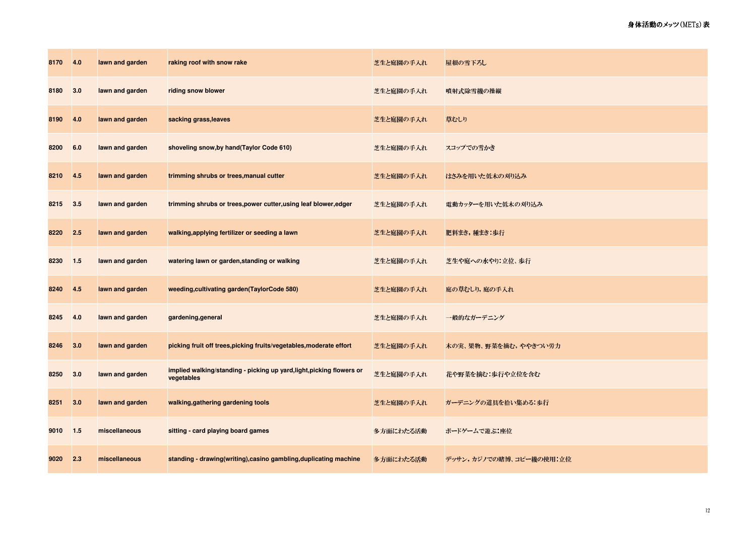| 8170 | 4.0 | lawn and garden | raking roof with snow rake                                                          | 芝生と庭園の手入れ | 屋根の雪下ろし                 |
|------|-----|-----------------|-------------------------------------------------------------------------------------|-----------|-------------------------|
| 8180 | 3.0 | lawn and garden | riding snow blower                                                                  | 芝生と庭園の手入れ | 噴射式除雪機の操縦               |
| 8190 | 4.0 | lawn and garden | sacking grass, leaves                                                               | 芝生と庭園の手入れ | 草むしり                    |
| 8200 | 6.0 | lawn and garden | shoveling snow, by hand (Taylor Code 610)                                           | 芝生と庭園の手入れ | スコップでの雪かき               |
| 8210 | 4.5 | lawn and garden | trimming shrubs or trees, manual cutter                                             | 芝生と庭園の手入れ | はさみを用いた低木の刈り込み          |
| 8215 | 3.5 | lawn and garden | trimming shrubs or trees, power cutter, using leaf blower, edger                    | 芝生と庭園の手入れ | 電動カッターを用いた低木の刈り込み       |
| 8220 | 2.5 | lawn and garden | walking, applying fertilizer or seeding a lawn                                      | 芝生と庭園の手入れ | 肥料まき,種まき:歩行             |
| 8230 | 1.5 | lawn and garden | watering lawn or garden, standing or walking                                        | 芝生と庭園の手入れ | 芝生や庭への水やり 立位、歩行         |
| 8240 | 4.5 | lawn and garden | weeding, cultivating garden (TaylorCode 580)                                        | 芝生と庭園の手入れ | 庭の草むしり,庭の手入れ            |
| 8245 | 4.0 | lawn and garden | gardening, general                                                                  | 芝生と庭園の手入れ | 一般的なガーデニング              |
| 8246 | 3.0 | lawn and garden | picking fruit off trees, picking fruits/vegetables, moderate effort                 | 芝生と庭園の手入れ | 木の実、果物、野菜を摘む,ややきつい労力    |
| 8250 | 3.0 | lawn and garden | implied walking/standing - picking up yard, light, picking flowers or<br>vegetables | 芝生と庭園の手入れ | 花や野菜を摘む:歩行や立位を含む        |
| 8251 | 3.0 | lawn and garden | walking, gathering gardening tools                                                  | 芝生と庭園の手入れ | ガーデニングの道具を拾い集める:歩行      |
| 9010 | 1.5 | miscellaneous   | sitting - card playing board games                                                  | 多方面にわたる活動 | ボードゲームで遊ぶ:座位            |
| 9020 | 2.3 | miscellaneous   | standing - drawing(writing), casino gambling, duplicating machine                   | 多方面にわたる活動 | デッサン,カジノでの賭博、コピー機の使用:立位 |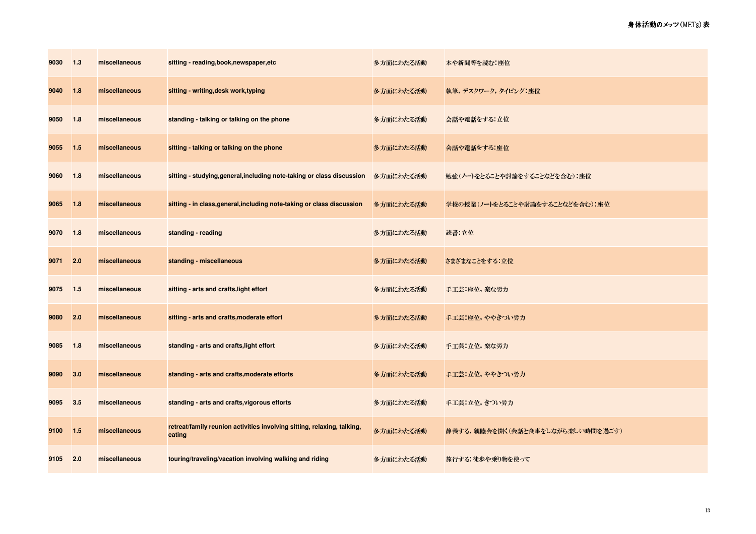| 9030 | 1.3   | miscellaneous | sitting - reading, book, newspaper, etc                                           | 多方面にわたる活動 | 本や新聞等を読む:座位                      |
|------|-------|---------------|-----------------------------------------------------------------------------------|-----------|----------------------------------|
| 9040 | 1.8   | miscellaneous | sitting - writing, desk work, typing                                              | 多方面にわたる活動 | 執筆,デスクワーク,タイピング:座位               |
| 9050 | 1.8   | miscellaneous | standing - talking or talking on the phone                                        | 多方面にわたる活動 | 会話や電話をする 立位                      |
| 9055 | $1.5$ | miscellaneous | sitting - talking or talking on the phone                                         | 多方面にわたる活動 | 会話や電話をする:座位                      |
| 9060 | 1.8   | miscellaneous | sitting - studying, general, including note-taking or class discussion            | 多方面にわたる活動 | 勉強(ノートをとることや討論をすることなどを含む) 座位     |
| 9065 | 1.8   | miscellaneous | sitting - in class, general, including note-taking or class discussion            | 多方面にわたる活動 | 学校の授業(ノートをとることや討論をすることなどを含む):座位  |
| 9070 | 1.8   | miscellaneous | standing - reading                                                                | 多方面にわたる活動 | 読書:立位                            |
| 9071 | 2.0   | miscellaneous | standing - miscellaneous                                                          | 多方面にわたる活動 | さまざまなことをする.立位                    |
| 9075 | 1.5   | miscellaneous | sitting - arts and crafts, light effort                                           | 多方面にわたる活動 | 手工芸:座位,楽な労力                      |
| 9080 | 2.0   | miscellaneous | sitting - arts and crafts, moderate effort                                        | 多方面にわたる活動 | 手工芸:座位,ややきつい労力                   |
| 9085 | 1.8   | miscellaneous | standing - arts and crafts, light effort                                          | 多方面にわたる活動 | 手工芸:立位,楽な労力                      |
| 9090 | 3.0   | miscellaneous | standing - arts and crafts, moderate efforts                                      | 多方面にわたる活動 | 手工芸:立位, ややきつい労力                  |
| 9095 | 3.5   | miscellaneous | standing - arts and crafts, vigorous efforts                                      | 多方面にわたる活動 | 手工芸:立位, きつい労力                    |
| 9100 | $1.5$ | miscellaneous | retreat/family reunion activities involving sitting, relaxing, talking,<br>eating | 多方面にわたる活動 | 静養する,親睦会を開く(会話と食事をしながら楽しい時間を過ごす) |
| 9105 | 2.0   | miscellaneous | touring/traveling/vacation involving walking and riding                           | 多方面にわたる活動 | 旅行する:徒歩や乗り物を使って                  |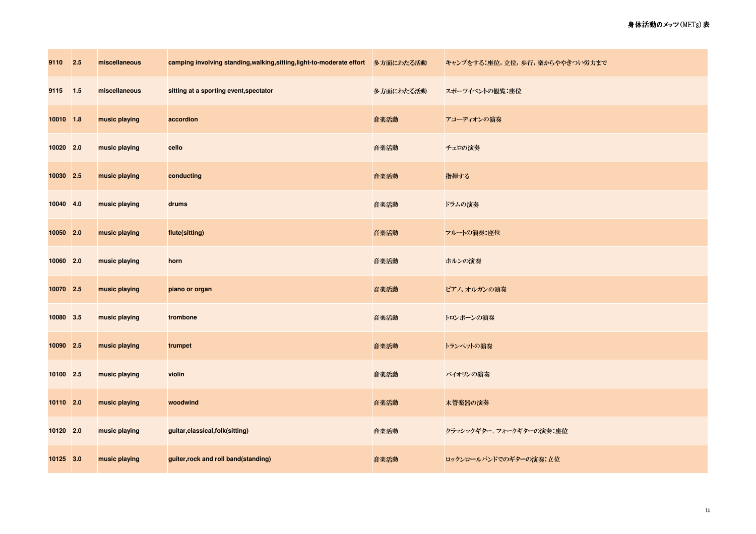| 9110 2.5  | miscellaneous | camping involving standing,walking,sitting,light-to-moderate effort 多方面にわたる活動 |           | キャンプをする 座位, 立位, 歩行, 楽からややきつい労力まで |
|-----------|---------------|-------------------------------------------------------------------------------|-----------|----------------------------------|
| 9115 1.5  | miscellaneous | sitting at a sporting event, spectator                                        | 多方面にわたる活動 | スポーツイベントの観覧:座位                   |
| 10010 1.8 | music playing | accordion                                                                     | 音楽活動      | アコーディオンの演奏                       |
| 10020 2.0 | music playing | cello                                                                         | 音楽活動      | チェロの演奏                           |
| 10030 2.5 | music playing | conducting                                                                    | 音楽活動      | 指揮する                             |
| 10040 4.0 | music playing | drums                                                                         | 音楽活動      | ドラムの演奏                           |
| 10050 2.0 | music playing | flute(sitting)                                                                | 音楽活動      | フルートの演奏:座位                       |
| 10060 2.0 | music playing | horn                                                                          | 音楽活動      | ホルンの演奏                           |
| 10070 2.5 | music playing | piano or organ                                                                | 音楽活動      | ピアノ、オルガンの演奏                      |
| 10080 3.5 | music playing | trombone                                                                      | 音楽活動      | トロンボーンの演奏                        |
| 10090 2.5 | music playing | trumpet                                                                       | 音楽活動      | トランペットの演奏                        |
| 10100 2.5 | music playing | violin                                                                        | 音楽活動      | バイオリンの演奏                         |
| 10110 2.0 | music playing | woodwind                                                                      | 音楽活動      | 木管楽器の演奏                          |
| 10120 2.0 | music playing | guitar, classical, folk(sitting)                                              | 音楽活動      | クラッシックギター、フォークギターの演奏:座位          |
| 10125 3.0 | music playing | guiter, rock and roll band(standing)                                          | 音楽活動      | ロックンロールバンドでのギターの演奏:立位            |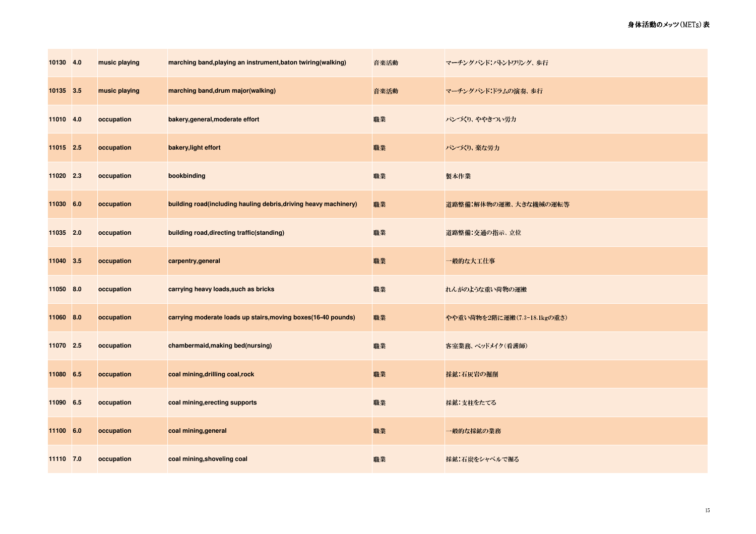| 10130 4.0 | music playing | marching band, playing an instrument, baton twiring (walking)    | 音楽活動 | マーチングバンド:バトントワリング、歩行        |
|-----------|---------------|------------------------------------------------------------------|------|-----------------------------|
| 10135 3.5 | music playing | marching band, drum major (walking)                              | 音楽活動 | マーチングバンド:ドラムの演奏、歩行          |
| 11010 4.0 | occupation    | bakery, general, moderate effort                                 | 職業   | パンづくり、ややきつい労力               |
| 11015 2.5 | occupation    | bakery, light effort                                             | 職業   | パンづくり、楽な労力                  |
| 11020 2.3 | occupation    | bookbinding                                                      | 職業   | 製本作業                        |
| 11030 6.0 | occupation    | building road(including hauling debris, driving heavy machinery) | 職業   | 道路整備:解体物の運搬、大きな機械の運転等       |
| 11035 2.0 | occupation    | building road, directing traffic (standing)                      | 職業   | 道路整備:交通の指示、立位               |
| 11040 3.5 | occupation    | carpentry, general                                               | 職業   | 一般的な大工仕事                    |
| 11050 8.0 | occupation    | carrying heavy loads, such as bricks                             | 職業   | れんがのような重い荷物の運搬              |
| 11060 8.0 | occupation    | carrying moderate loads up stairs, moving boxes(16-40 pounds)    | 職業   | やや重い荷物を2階に運搬(7.3-18 1kgの重さ) |
| 11070 2.5 | occupation    | chambermaid, making bed(nursing)                                 | 職業   | 客室業務、ベッドメイク(看護師)            |
| 11080 6.5 | occupation    | coal mining, drilling coal, rock                                 | 職業   | 採鉱:石灰岩の掘削                   |
| 11090 6.5 | occupation    | coal mining, erecting supports                                   | 職業   | 採鉱:支柱をたてる                   |
| 11100 6.0 | occupation    | coal mining, general                                             | 職業   | 一般的な採鉱の業務                   |
| 11110 7.0 | occupation    | coal mining, shoveling coal                                      | 職業   | 採鉱:石炭をシャベルで掘る               |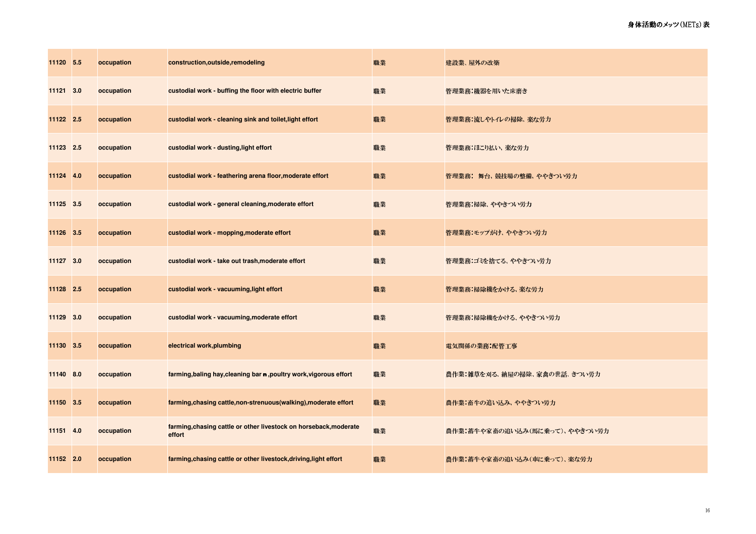| 11120 5.5 | occupation | construction, outside, remodeling                                           | 職業 | 建設業、屋外の改築                     |
|-----------|------------|-----------------------------------------------------------------------------|----|-------------------------------|
| 11121 3.0 | occupation | custodial work - buffing the floor with electric buffer                     | 職業 | 管理業務:機器を用いた床磨き                |
| 11122 2.5 | occupation | custodial work - cleaning sink and toilet, light effort                     | 職業 | 管理業務:流しやトイレの掃除、楽な労力           |
| 11123 2.5 | occupation | custodial work - dusting, light effort                                      | 職業 | 管理業務:ほこり払い、楽な労力               |
| 11124 4.0 | occupation | custodial work - feathering arena floor, moderate effort                    | 職業 | 管理業務: 舞台、競技場の整備、ややきつい労力       |
| 11125 3.5 | occupation | custodial work - general cleaning, moderate effort                          | 職業 | 管理業務:掃除、ややきつい労力               |
| 11126 3.5 | occupation | custodial work - mopping, moderate effort                                   | 職業 | 管理業務:モップがけ、ややきつい労力            |
| 11127 3.0 | occupation | custodial work - take out trash, moderate effort                            | 職業 | 管理業務:ゴミを捨てる、ややきつい労力           |
| 11128 2.5 | occupation | custodial work - vacuuming, light effort                                    | 職業 | 管理業務:掃除機をかける、楽な労力             |
| 11129 3.0 | occupation | custodial work - vacuuming, moderate effort                                 | 職業 | 管理業務:掃除機をかける、ややきつい労力          |
| 11130 3.5 | occupation | electrical work, plumbing                                                   | 職業 | 電気関係の業務:配管工事                  |
| 11140 8.0 | occupation | farming, baling hay, cleaning bar n, poultry work, vigorous effort          | 職業 | 農作業:雑草を刈る、納屋の掃除、家禽の世話、きつい労力   |
| 11150 3.5 | occupation | farming, chasing cattle, non-strenuous (walking), moderate effort           | 職業 | 農作業:畜牛の追い込み、ややきつい労力           |
| 11151 4.0 | occupation | farming, chasing cattle or other livestock on horseback, moderate<br>effort | 職業 | 農作業:蓄牛や家畜の追い込み(馬に乗って)、ややきつい労力 |
| 11152 2.0 | occupation | farming, chasing cattle or other livestock, driving, light effort           | 職業 | 農作業:蓄牛や家畜の追い込み(車に乗って)、楽な労力    |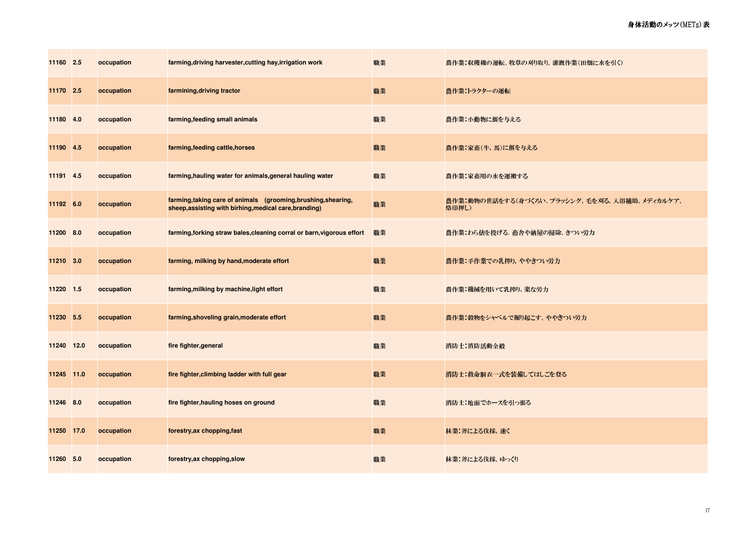| 11160 2.5  | occupation | farming, driving harvester, cutting hay, irrigation work                                                                 | 職業 | 農作業:収穫機の運転、 牧草の刈り取り、 灌漑作業(田畑に水を引く)                    |
|------------|------------|--------------------------------------------------------------------------------------------------------------------------|----|-------------------------------------------------------|
| 11170 2.5  | occupation | farmining, driving tractor                                                                                               | 職業 | 農作業:トラクターの運転                                          |
| 11180 4.0  | occupation | farming, feeding small animals                                                                                           | 職業 | 農作業:小動物に餌を与える                                         |
| 11190 4.5  | occupation | farming, feeding cattle, horses                                                                                          | 職業 | 農作業:家畜(牛、馬)に餌を与える                                     |
| 11191 4.5  | occupation | farming, hauling water for animals, general hauling water                                                                | 職業 | 農作業:家畜用の水を運搬する                                        |
| 11192 6.0  | occupation | farming, taking care of animals (grooming, brushing, shearing,<br>sheep, assisting with birhing, medical care, branding) | 職業 | 農作業:動物の世話をする(身づくろい、ブラッシング、毛を刈る、入浴補助、メディカルケア、<br>烙印押し) |
| 11200 8.0  | occupation | farming, forking straw bales, cleaning corral or barn, vigorous effort                                                   | 職業 | 農作業:わら俵を投げる、畜舎や納屋の掃除、きつい労力                            |
| 11210 3.0  | occupation | farming, milking by hand, moderate effort                                                                                | 職業 | 農作業:手作業での乳搾り、ややきつい労力                                  |
| 11220 1.5  | occupation | farming, milking by machine, light effort                                                                                | 職業 | 農作業:機械を用いて乳搾り、楽な労力                                    |
| 11230 5.5  | occupation | farming, shoveling grain, moderate effort                                                                                | 職業 | 農作業:穀物をシャベルで掘り起こす、 ややきつい労力                            |
| 11240 12.0 | occupation | fire fighter, general                                                                                                    | 職業 | 消防士:消防活動全般                                            |
| 11245 11.0 | occupation | fire fighter, climbing ladder with full gear                                                                             | 職業 | 消防士:救命胴衣一式を装備してはしごを登る                                 |
| 11246 8.0  | occupation | fire fighter, hauling hoses on ground                                                                                    | 職業 | 消防士:地面でホースを引っ張る                                       |
| 11250 17.0 | occupation | forestry, ax chopping, fast                                                                                              | 職業 | 林業:斧による伐採、速く                                          |
| 11260 5.0  | occupation | forestry, ax chopping, slow                                                                                              | 職業 | 林業:斧による伐採、ゆっくり                                        |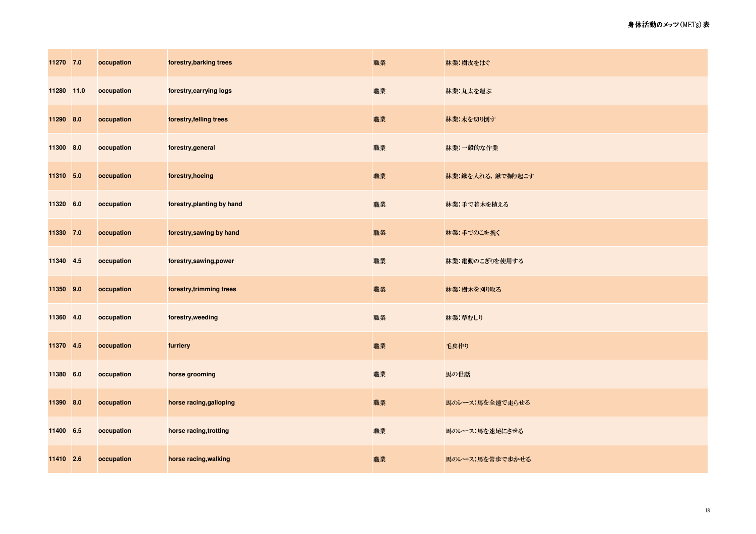| 11270 7.0  | occupation | forestry, barking trees    | 職業 | 林業:樹皮をはぐ         |
|------------|------------|----------------------------|----|------------------|
| 11280 11.0 | occupation | forestry, carrying logs    | 職業 | 林業:丸太を運ぶ         |
| 11290 8.0  | occupation | forestry, felling trees    | 職業 | 林業:木を切り倒す        |
| 11300 8.0  | occupation | forestry, general          | 職業 | 林業:一般的な作業        |
| 11310 5.0  | occupation | forestry, hoeing           | 職業 | 林業:鍬を入れる、鍬で掘り起こす |
| 11320 6.0  | occupation | forestry, planting by hand | 職業 | 林業:手で若木を植える      |
| 11330 7.0  | occupation | forestry, sawing by hand   | 職業 | 林業:手でのこを挽く       |
| 11340 4.5  | occupation | forestry,sawing,power      | 職業 | 林業:電動のこぎりを使用する   |
| 11350 9.0  | occupation | forestry, trimming trees   | 職業 | 林業:樹木を刈り取る       |
| 11360 4.0  | occupation | forestry, weeding          | 職業 | 林業:草むしり          |
| 11370 4.5  | occupation | furriery                   | 職業 | 毛皮作り             |
| 11380 6.0  | occupation | horse grooming             | 職業 | 馬の世話             |
| 11390 8.0  | occupation | horse racing, galloping    | 職業 | 馬のレース:馬を全速で走らせる  |
| 11400 6.5  | occupation | horse racing, trotting     | 職業 | 馬のレース:馬を速足にさせる   |
| 11410 2.6  | occupation | horse racing, walking      | 職業 | 馬のレース:馬を常歩で歩かせる  |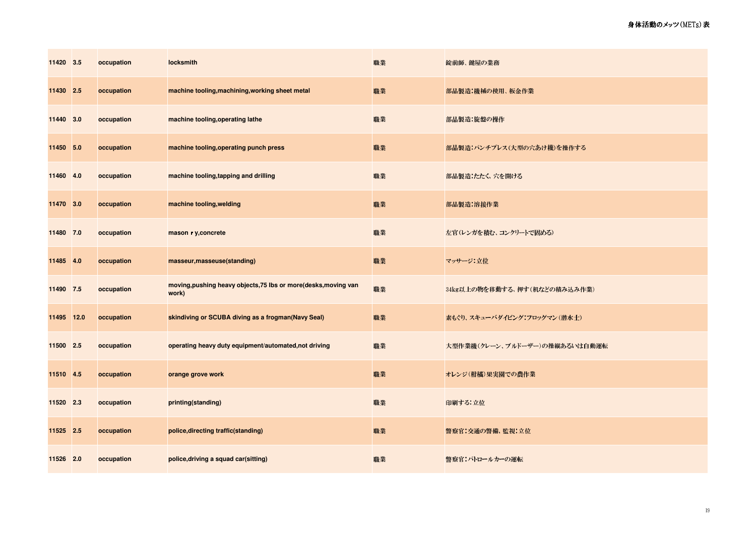| 11420 3.5  | occupation | locksmith                                                                | 職業 | 錠前師、鍵屋の業務                     |
|------------|------------|--------------------------------------------------------------------------|----|-------------------------------|
| 11430 2.5  | occupation | machine tooling, machining, working sheet metal                          | 職業 | 部品製造:機械の使用、板金作業               |
| 11440 3.0  | occupation | machine tooling, operating lathe                                         | 職業 | 部品製造:旋盤の操作                    |
| 11450 5.0  | occupation | machine tooling, operating punch press                                   | 職業 | 部品製造:パンチプレス(大型の穴あけ機)を操作する     |
| 11460 4.0  | occupation | machine tooling, tapping and drilling                                    | 職業 | 部品製造:たたく、穴を開ける                |
| 11470 3.0  | occupation | machine tooling, welding                                                 | 職業 | 部品製造:溶接作業                     |
| 11480 7.0  | occupation | mason r y, concrete                                                      | 職業 | 左官(レンガを積む、コンクリートで固める)         |
| 11485 4.0  | occupation | masseur, masseuse(standing)                                              | 職業 | マッサージ:立位                      |
| 11490 7.5  | occupation | moving, pushing heavy objects, 75 lbs or more(desks, moving van<br>work) | 職業 | 34kg以上の物を移動する、押す(机などの積み込み作業)  |
| 11495 12.0 | occupation | skindiving or SCUBA diving as a frogman(Navy Seal)                       | 職業 | 素もぐり、スキューバダイビング:フロッグマン(潜水士)   |
| 11500 2.5  | occupation | operating heavy duty equipment/automated, not driving                    | 職業 | 大型作業機(クレーン、ブルドーザー)の操縦あるいは自動運転 |
| 11510 4.5  | occupation | orange grove work                                                        | 職業 | オレンジ(柑橘) 果実園での農作業             |
| 11520 2.3  | occupation | printing(standing)                                                       | 職業 | 印刷する:立位                       |
| 11525 2.5  | occupation | police, directing traffic (standing)                                     | 職業 | 警察官:交通の警備、監視:立位               |
| 11526 2.0  | occupation | police, driving a squad car(sitting)                                     | 職業 | 警察官:パトロールカーの運転                |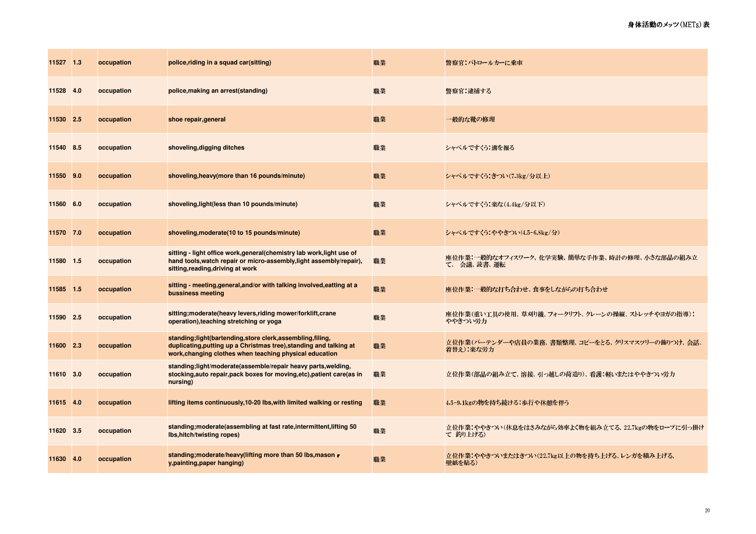| 11527 1.3 | occupation | police, riding in a squad car(sitting)                                                                                                                                                       | 職業 | 警察官:パトロールカーに乗車                                                |
|-----------|------------|----------------------------------------------------------------------------------------------------------------------------------------------------------------------------------------------|----|---------------------------------------------------------------|
| 11528 4.0 | occupation | police, making an arrest (standing)                                                                                                                                                          | 職業 | 警察官:逮捕する                                                      |
| 11530 2.5 | occupation | shoe repair, general                                                                                                                                                                         | 職業 | 一般的な靴の修理                                                      |
| 11540 8.5 | occupation | shoveling, digging ditches                                                                                                                                                                   | 職業 | シャベルですくう.溝を掘る                                                 |
| 11550 9.0 | occupation | shoveling, heavy (more than 16 pounds/minute)                                                                                                                                                | 職業 | シャベルですくう:きつい(7 3kg/分以上)                                       |
| 11560 6.0 | occupation | shoveling, light (less than 10 pounds/minute)                                                                                                                                                | 職業 | シャベルですくう:楽な(4 4kg/分以下)                                        |
| 11570 7.0 | occupation | shoveling, moderate (10 to 15 pounds/minute)                                                                                                                                                 | 職業 | シャベルですくう:ややきつい(4.5-6.8kg/分)                                   |
| 11580 1.5 | occupation | sitting - light office work, general (chemistry lab work, light use of<br>hand tools, watch repair or micro-assembly, light assembly/repair),<br>sitting, reading, driving at work           | 職業 | 座位作業:一般的なオフィスワーク、化学実験、簡単な手作業、時計の修理、小さな部品の組み立<br>て、 会議、読書、運転   |
| 11585 1.5 | occupation | sitting - meeting, general, and/or with talking involved, eatting at a<br>bussiness meeting                                                                                                  | 職業 | 座位作業:一般的な打ち合わせ、食事をしながらの打ち合わせ                                  |
| 11590 2.5 | occupation | sitting; moderate(heavy levers, riding mower/forklift, crane<br>operation), teaching stretching or yoga                                                                                      | 職業 | 座位作業(重い工具の使用、草刈り機、フォークリフト、クレーンの操縦、ストレッチやヨガの指導):<br>ややきつい労力    |
| 11600 2.3 | occupation | standing;light(bartending, store clerk, assembling, filing,<br>duplicating, putting up a Christmas tree), standing and talking at<br>work, changing clothes when teaching physical education | 職業 | 立位作業(バーテンダーや店員の業務、書類整理、コピーをとる、クリスマスツリーの飾りつけ、会話、<br>着替え):楽な労力  |
| 11610 3.0 | occupation | standing;light/moderate(assemble/repair heavy parts,welding,<br>stocking, auto repair, pack boxes for moving, etc), patient care(as in<br>nursing)                                           | 職業 | 立位作業(部品の組み立て、溶接、引っ越しの荷造り)、看護:軽いまたはややきつい労力                     |
| 11615 4.0 | occupation | lifting items continuously, 10-20 lbs, with limited walking or resting                                                                                                                       | 職業 | 4.5-9.1kgの物を持ち続ける.歩行や休憩を伴う                                    |
| 11620 3.5 | occupation | standing; moderate (assembling at fast rate, intermittent, lifting 50<br><b>Ibs, hitch/twisting ropes)</b>                                                                                   | 職業 | 立位作業:ややきつい(休息をはさみながら効率よく物を組み立てる、22 7kgの物をロープに引っ掛け<br>て 釣り上げる) |
| 11630 4.0 | occupation | standing; moderate/heavy(lifting more than 50 lbs, mason r<br>y, painting, paper hanging)                                                                                                    | 職業 | 立位作業:ややきついまたはきつい(22.7kg以上の物を持ち上げる、レンガを積み上げる、<br>壁紙を貼る)        |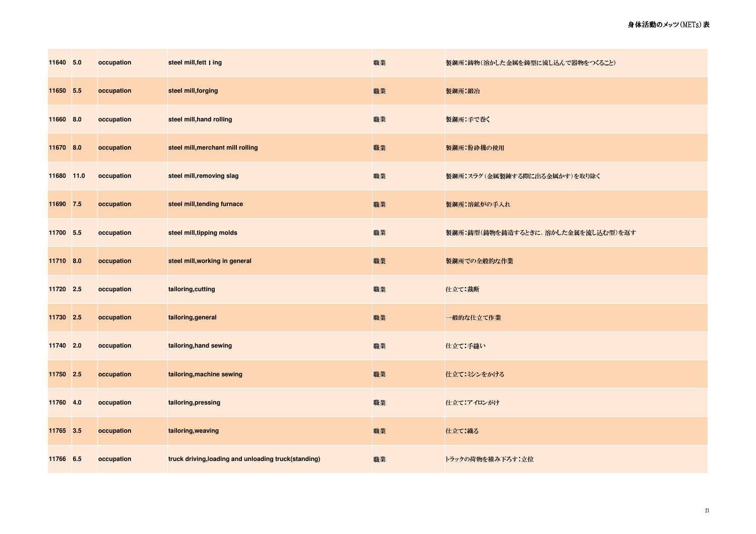| 11640 5.0  | occupation | steel mill, fett I ing                               | 職業 | 製鋼所:鋳物(溶かした金属を鋳型に流し込んで器物をつくること)    |
|------------|------------|------------------------------------------------------|----|------------------------------------|
| 11650 5.5  | occupation | steel mill, forging                                  | 職業 | 製鋼所:鍛冶                             |
| 11660 8.0  | occupation | steel mill, hand rolling                             | 職業 | 製鋼所:手で巻く                           |
| 11670 8.0  | occupation | steel mill, merchant mill rolling                    | 職業 | 製鋼所:粉砕機の使用                         |
| 11680 11.0 | occupation | steel mill, removing slag                            | 職業 | 製鋼所:スラグ(金属製錬する際に出る金属かす)を取り除く       |
| 11690 7.5  | occupation | steel mill, tending furnace                          | 職業 | 製鋼所:溶鉱炉の手入れ                        |
| 11700 5.5  | occupation | steel mill, tipping molds                            | 職業 | 製鋼所:鋳型(鋳物を鋳造するときに、溶かした金属を流し込む型)を返す |
| 11710 8.0  | occupation | steel mill, working in general                       | 職業 | 製鋼所での全般的な作業                        |
| 11720 2.5  | occupation | tailoring, cutting                                   | 職業 | 仕立て:裁断                             |
| 11730 2.5  | occupation | tailoring, general                                   | 職業 | 一般的な仕立て作業                          |
| 11740 2.0  | occupation | tailoring, hand sewing                               | 職業 | 仕立て:手縫い                            |
| 11750 2.5  | occupation | tailoring, machine sewing                            | 職業 | 仕立て:ミシンをかける                        |
| 11760 4.0  | occupation | tailoring, pressing                                  | 職業 | 仕立て:アイロンがけ                         |
| 11765 3.5  | occupation | tailoring, weaving                                   | 職業 | 仕立て 織る                             |
| 11766 6.5  | occupation | truck driving, loading and unloading truck(standing) | 職業 | トラックの荷物を積み下ろす:立位                   |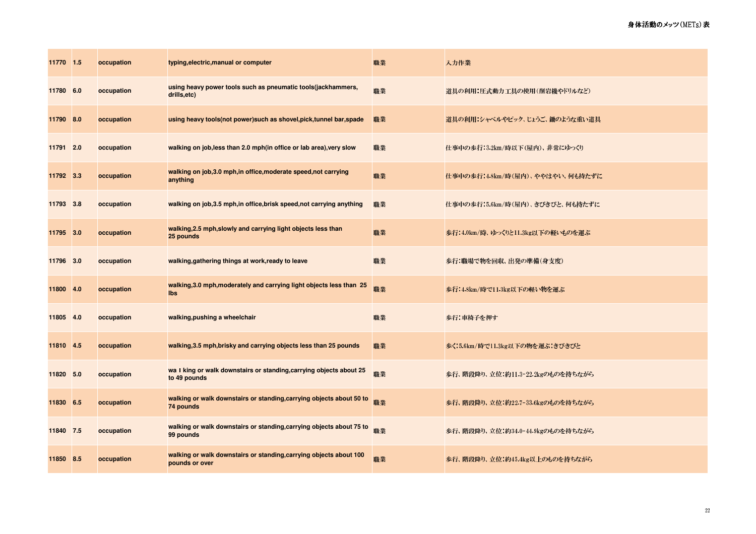| 11770 1.5 |     | occupation | typing, electric, manual or computer                                                 | 職業 | 入力作業                             |
|-----------|-----|------------|--------------------------------------------------------------------------------------|----|----------------------------------|
| 11780 6.0 |     | occupation | using heavy power tools such as pneumatic tools (jackhammers,<br>drills,etc)         | 職業 | 道具の利用:圧式動力工具の使用(削岩機やドリルなど)       |
| 11790 8.0 |     | occupation | using heavy tools(not power) such as shovel, pick, tunnel bar, spade                 | 職業 | 道具の利用:シャベルやピック、じょうご、鋤のような重い道具    |
| 11791 2.0 |     | occupation | walking on job, less than 2.0 mph(in office or lab area), very slow                  | 職業 | 仕事中の歩行:32km/時以下(屋内)、非常にゆっくり      |
| 11792 3.3 |     | occupation | walking on job, 3.0 mph, in office, moderate speed, not carrying<br>anything         | 職業 | 仕事中の歩行:4.8km/時(屋内)、ややはやい、何も持たずに  |
| 11793 3.8 |     | occupation | walking on job, 3.5 mph, in office, brisk speed, not carrying anything               | 職業 | 仕事中の歩行:5.6km/時(屋内)、きびきびと、何も持たずに  |
| 11795 3.0 |     | occupation | walking, 2.5 mph, slowly and carrying light objects less than<br>25 pounds           | 職業 | 歩行:4.0km/時、ゆっくりと113kg以下の軽いものを運ぶ  |
| 11796 3.0 |     | occupation | walking, gathering things at work, ready to leave                                    | 職業 | 歩行:職場で物を回収、出発の準備(身支度)            |
| 11800     | 4.0 | occupation | walking, 3.0 mph, moderately and carrying light objects less than 25<br><b>lbs</b>   | 職業 | 歩行:4.8km/時で11.3kg以下の軽い物を運ぶ       |
| 11805 4.0 |     | occupation | walking, pushing a wheelchair                                                        | 職業 | 歩行:車椅子を押す                        |
| 11810 4.5 |     | occupation | walking, 3.5 mph, brisky and carrying objects less than 25 pounds                    | 職業 | 歩く:5 6km/時で11 3kg以下の物を運ぶ:きびきびと   |
| 11820 5.0 |     | occupation | wa I king or walk downstairs or standing, carrying objects about 25<br>to 49 pounds  | 職業 | 歩行、階段降り、立位:約11.3-22.2kgのものを持ちながら |
| 11830 6.5 |     | occupation | walking or walk downstairs or standing, carrying objects about 50 to<br>74 pounds    | 職業 | 歩行、階段降り、立位:約22.7-33.6kgのものを持ちながら |
| 11840 7.5 |     | occupation | walking or walk downstairs or standing, carrying objects about 75 to<br>99 pounds    | 職業 | 歩行、階段降り、立位:約34.0-44.9kgのものを持ちながら |
| 11850 8.5 |     | occupation | walking or walk downstairs or standing, carrying objects about 100<br>pounds or over | 職業 | 歩行、階段降り、立位:約45 4kg以上のものを持ちながら    |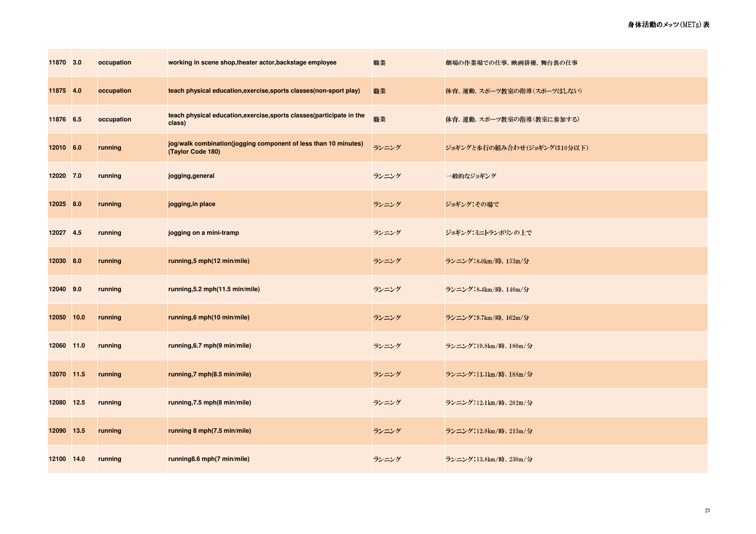| 11870 3.0  |      | occupation | working in scene shop, theater actor, backstage employee                             | 職業    | 劇場の作業場での仕事、映画俳優、舞台裏の仕事      |
|------------|------|------------|--------------------------------------------------------------------------------------|-------|-----------------------------|
| 11875 4.0  |      | occupation | teach physical education, exercise, sports classes (non-sport play)                  | 職業    | 体育、運動、スポーツ教室の指導(スポーツはしない)   |
| 11876 6.5  |      | occupation | teach physical education, exercise, sports classes (participate in the<br>class)     | 職業    | 体育、運動、スポーツ教室の指導(教室に参加する)    |
| 12010 6.0  |      | running    | jog/walk combination(jogging component of less than 10 minutes)<br>(Taylor Code 180) | ランニング | ジョギングと歩行の組み合わせ(ジョギングは10分以下) |
| 12020 7.0  |      | running    | jogging, general                                                                     | ランニング | 一般的なジョギング                   |
| 12025 8.0  |      | running    | jogging, in place                                                                    | ランニング | ジョギング その場で                  |
| 12027 4.5  |      | running    | jogging on a mini-tramp                                                              | ランニング | ジョギング:ミニトランポリンの上で           |
| 12030      | 8.0  | running    | running,5 mph(12 min/mile)                                                           | ランニング | ランニング:8.0km/時、133m/分        |
| 12040 9.0  |      | running    | running, 5.2 mph (11.5 min/mile)                                                     | ランニング | ランニング:8.4km/時、140m/分        |
| 12050      | 10.0 | running    | running, 6 mph(10 min/mile)                                                          | ランニング | ランニング:9.7km/時、162m/分        |
| 12060 11.0 |      | running    | running, 6.7 mph (9 min/mile)                                                        | ランニング | ランニング:10.8km/時、180m/分       |
| 12070 11.5 |      | running    | running,7 mph(8.5 min/mile)                                                          | ランニング | ランニング:11 3km/時、188m/分       |
| 12080 12.5 |      | running    | running, 7.5 mph (8 min/mile)                                                        | ランニング | ランニング:12.1km/時、202m/分       |
| 12090 13.5 |      | running    | running 8 mph(7.5 min/mile)                                                          | ランニング | ランニング:12.9km/時、215m/分       |
| 12100 14.0 |      | running    | running8.6 mph(7 min/mile)                                                           | ランニング | ランニング:138km/時、230m/分        |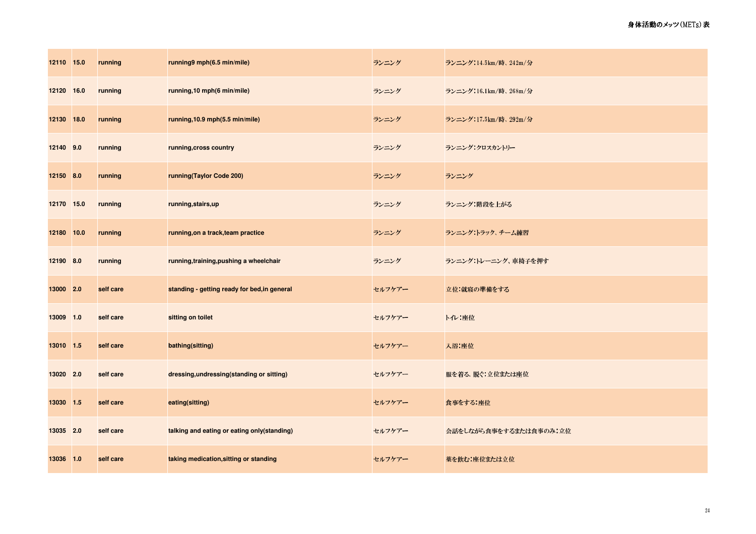| 12110 15.0 | running   | running9 mph(6.5 min/mile)                   | ランニング  | ランニング:14.5km/時、242m/分  |
|------------|-----------|----------------------------------------------|--------|------------------------|
| 12120 16.0 | running   | running, 10 mph(6 min/mile)                  | ランニング  | ランニング:16.1km/時、268m/分  |
| 12130 18.0 | running   | running, 10.9 mph(5.5 min/mile)              | ランニング  | ランニング:17.5km/時、292m/分  |
| 12140 9.0  | running   | running, cross country                       | ランニング  | ランニング・クロスカントリー         |
| 12150 8.0  | running   | running(Taylor Code 200)                     | ランニング  | ランニング                  |
| 12170 15.0 | running   | running, stairs, up                          | ランニング  | ランニング:階段を上がる           |
| 12180 10.0 | running   | running, on a track, team practice           | ランニング  | ランニング・トラック、チーム練習       |
| 12190 8.0  | running   | running, training, pushing a wheelchair      | ランニング  | ランニング:トレーニング、車椅子を押す    |
| 13000 2.0  | self care | standing - getting ready for bed, in general | セルフケアー | 立位:就寝の準備をする            |
| 13009 1.0  | self care | sitting on toilet                            | セルフケアー | トイレ:座位                 |
| 13010 1.5  | self care | bathing(sitting)                             | セルフケアー | 入浴 座位                  |
| 13020 2.0  | self care | dressing, undressing (standing or sitting)   | セルフケアー | 服を着る、脱ぐ:立位または座位        |
| 13030 1.5  | self care | eating(sitting)                              | セルフケアー | 食事をする 座位               |
| 13035 2.0  | self care | talking and eating or eating only(standing)  | セルフケアー | 会話をしながら食事をするまたは食事のみ:立位 |
| 13036 1.0  | self care | taking medication, sitting or standing       | セルフケアー | 薬を飲む:座位または立位           |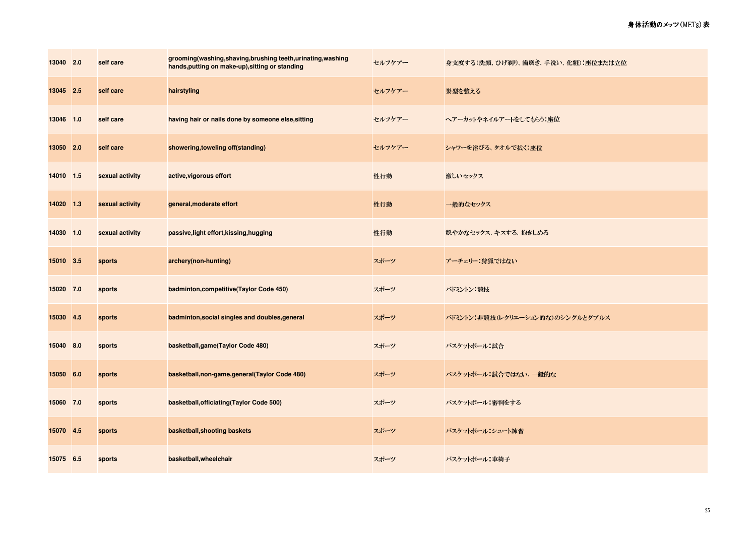| 13040 2.0 | self care       | grooming(washing,shaving,brushing teeth,urinating,washing<br>hands, putting on make-up), sitting or standing | セルフケアー | 身支度する(洗顔、ひげ剃り、歯磨き、手洗い、化粧):座位または立位 |
|-----------|-----------------|--------------------------------------------------------------------------------------------------------------|--------|-----------------------------------|
| 13045 2.5 | self care       | hairstyling                                                                                                  | セルフケアー | 髪型を整える                            |
| 13046 1.0 | self care       | having hair or nails done by someone else, sitting                                                           | セルフケアー | ヘアーカットやネイルアートをしてもらう:座位            |
| 13050 2.0 | self care       | showering, toweling off(standing)                                                                            | セルフケアー | シャワーを浴びる、タオルで拭く:座位                |
| 14010 1.5 | sexual activity | active, vigorous effort                                                                                      | 性行動    | 激しいセックス                           |
| 14020 1.3 | sexual activity | general, moderate effort                                                                                     | 性行動    | 一般的なセックス                          |
| 14030 1.0 | sexual activity | passive, light effort, kissing, hugging                                                                      | 性行動    | 穏やかなセックス、キスする、抱きしめる               |
| 15010 3.5 | sports          | archery(non-hunting)                                                                                         | スポーツ   | アーチェリー:狩猟ではない                     |
| 15020 7.0 | sports          | badminton, competitive (Taylor Code 450)                                                                     | スポーツ   | バドミントン 競技                         |
| 15030 4.5 | sports          | badminton, social singles and doubles, general                                                               | スポーツ   | バドミントン:非競技(レクリエーション的な)のシングルとダブルス  |
| 15040 8.0 | sports          | basketball, game (Taylor Code 480)                                                                           | スポーツ   | バスケットボール 試合                       |
| 15050 6.0 | sports          | basketball, non-game, general (Taylor Code 480)                                                              | スポーツ   | バスケットボール:試合ではない、一般的な              |
| 15060 7.0 | sports          | basketball, officiating (Taylor Code 500)                                                                    | スポーツ   | バスケットボール:審判をする                    |
| 15070 4.5 | sports          | basketball, shooting baskets                                                                                 | スポーツ   | バスケットボール・シュート練習                   |
| 15075 6.5 | sports          | basketball, wheelchair                                                                                       | スポーツ   | バスケットボール:車椅子                      |

25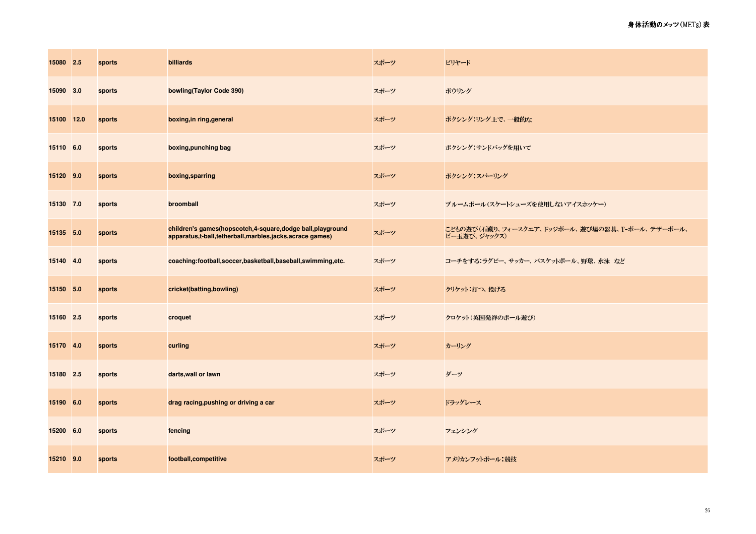| 15080 2.5  | sports | billiards                                                                                                            | スポーツ | ビリヤード                                                          |
|------------|--------|----------------------------------------------------------------------------------------------------------------------|------|----------------------------------------------------------------|
| 15090 3.0  | sports | bowling(Taylor Code 390)                                                                                             | スポーツ | ボウリング                                                          |
| 15100 12.0 | sports | boxing, in ring, general                                                                                             | スポーツ | ボクシング:リング上で、一般的な                                               |
| 15110 6.0  | sports | boxing, punching bag                                                                                                 | スポーツ | ボクシング サンドバッグを用いて                                               |
| 15120 9.0  | sports | boxing, sparring                                                                                                     | スポーツ | ボクシング:スパーリング                                                   |
| 15130 7.0  | sports | broomball                                                                                                            | スポーツ | ブルームボール(スケートシューズを使用しないアイスホッケー)                                 |
| 15135 5.0  | sports | children's games(hopscotch,4-square,dodge ball,playground<br>apparatus,t-ball,tetherball,marbles,jacks,acrace games) | スポーツ | こどもの遊び(石蹴り、フォースクエア、ドッジボール、遊び場の器具、T-ボール、テザーボール、<br>ビー玉遊び、ジャックス) |
| 15140 4.0  | sports | coaching:football,soccer,basketball,baseball,swimming,etc.                                                           | スポーツ | コーチをする ラグビー、サッカー、バスケットボール、野球、水泳 など                             |
| 15150 5.0  | sports | cricket(batting,bowling)                                                                                             | スポーツ | クリケット:打つ、投げる                                                   |
| 15160 2.5  | sports | croquet                                                                                                              | スポーツ | クロケット(英国発祥のボール遊び)                                              |
| 15170 4.0  | sports | curling                                                                                                              | スポーツ | カーリング                                                          |
| 15180 2.5  | sports | darts, wall or lawn                                                                                                  | スポーツ | ダーツ                                                            |
| 15190 6.0  | sports | drag racing, pushing or driving a car                                                                                | スポーツ | ドラッグレース                                                        |
| 15200 6.0  | sports | fencing                                                                                                              | スポーツ | フェンシング                                                         |
| 15210 9.0  | sports | football, competitive                                                                                                | スポーツ | アメリカンフットボール:競技                                                 |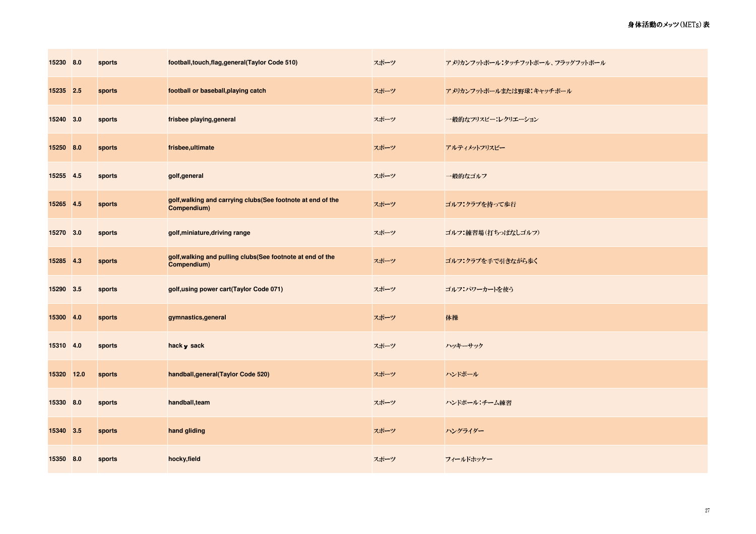| 15230 8.0  | sports | football, touch, flag, general (Taylor Code 510)                           | スポーツ | アメリカンフットボール:タッチフットボール、フラッグフットボール |
|------------|--------|----------------------------------------------------------------------------|------|----------------------------------|
| 15235 2.5  | sports | football or baseball, playing catch                                        | スポーツ | アメリカンフットボールまたは野球:キャッチボール         |
| 15240 3.0  | sports | frisbee playing, general                                                   | スポーツ | 一般的なフリスビー:レクリエーション               |
| 15250 8.0  | sports | frisbee,ultimate                                                           | スポーツ | アルティメットフリスビー                     |
| 15255 4.5  | sports | golf, general                                                              | スポーツ | 一般的なゴルフ                          |
| 15265 4.5  | sports | golf, walking and carrying clubs(See footnote at end of the<br>Compendium) | スポーツ | ゴルフ:クラブを持って歩行                    |
| 15270 3.0  | sports | golf, miniature, driving range                                             | スポーツ | ゴルフ:練習場(打ちっぱなしゴルフ)               |
| 15285 4.3  | sports | golf, walking and pulling clubs(See footnote at end of the<br>Compendium)  | スポーツ | ゴルフ:クラブを手で引きながら歩く                |
| 15290 3.5  | sports | golf, using power cart(Taylor Code 071)                                    | スポーツ | ゴルフ:パワーカートを使う                    |
| 15300 4.0  | sports | gymnastics, general                                                        | スポーツ | 体操                               |
| 15310 4.0  | sports | hack y sack                                                                | スポーツ | ハッキーサック                          |
| 15320 12.0 | sports | handball, general (Taylor Code 520)                                        | スポーツ | ハンドボール                           |
| 15330 8.0  | sports | handball, team                                                             | スポーツ | ハンドボール:チーム練習                     |
| 15340 3.5  | sports | hand gliding                                                               | スポーツ | ハングライダー                          |
| 15350 8.0  | sports | hocky, field                                                               | スポーツ | フィールドホッケー                        |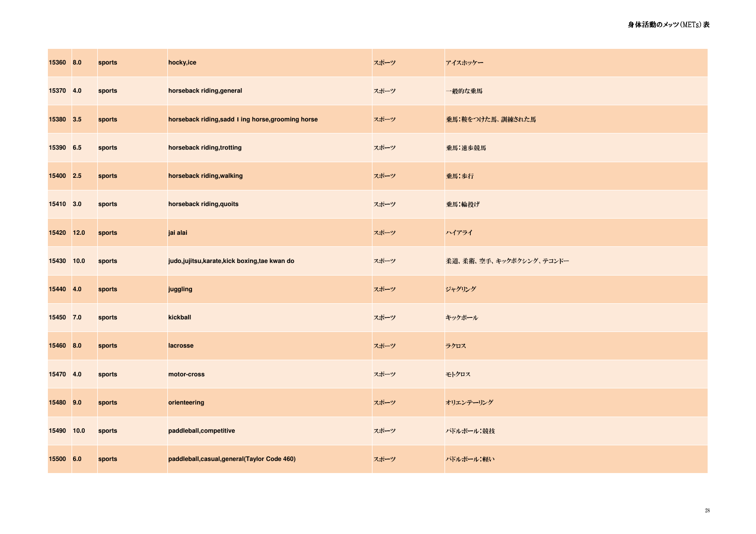| 15360 8.0  | sports | hocky,ice                                          | スポーツ | アイスホッケー                 |
|------------|--------|----------------------------------------------------|------|-------------------------|
| 15370 4.0  | sports | horseback riding, general                          | スポーツ | 一般的な乗馬                  |
| 15380 3.5  | sports | horseback riding, sadd   ing horse, grooming horse | スポーツ | 乗馬:鞍をつけた馬、訓練された馬        |
| 15390 6.5  | sports | horseback riding, trotting                         | スポーツ | 乗馬:速歩競馬                 |
| 15400 2.5  | sports | horseback riding, walking                          | スポーツ | 乗馬:歩行                   |
| 15410 3.0  | sports | horseback riding, quoits                           | スポーツ | 乗馬:輪投げ                  |
| 15420 12.0 | sports | jai alai                                           | スポーツ | ハイアライ                   |
| 15430 10.0 | sports | judo, jujitsu, karate, kick boxing, tae kwan do    | スポーツ | 柔道、柔術、空手、キックボクシング、テコンドー |
| 15440 4.0  | sports | juggling                                           | スポーツ | ジャグリング                  |
| 15450 7.0  | sports | kickball                                           | スポーツ | キックボール                  |
| 15460 8.0  | sports | lacrosse                                           | スポーツ | ラクロス                    |
| 15470 4.0  | sports | motor-cross                                        | スポーツ | モトクロス                   |
| 15480 9.0  | sports | orienteering                                       | スポーツ | オリエンテーリング               |
| 15490 10.0 | sports | paddleball, competitive                            | スポーツ | パドルボール 競技               |
| 15500 6.0  | sports | paddleball, casual, general (Taylor Code 460)      | スポーツ | パドルボール:軽い               |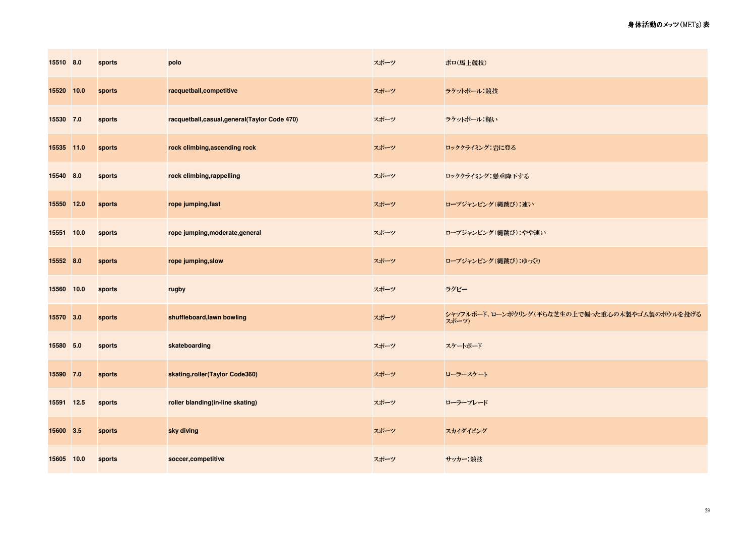| 15510 8.0  | sports | polo                                           | スポーツ | ポロ(馬上競技)                                                |
|------------|--------|------------------------------------------------|------|---------------------------------------------------------|
| 15520 10.0 | sports | racquetball, competitive                       | スポーツ | ラケットボール 競技                                              |
| 15530 7.0  | sports | racquetball, casual, general (Taylor Code 470) | スポーツ | ラケットボール:軽い                                              |
| 15535 11.0 | sports | rock climbing, ascending rock                  | スポーツ | ロッククライミング:岩に登る                                          |
| 15540 8.0  | sports | rock climbing, rappelling                      | スポーツ | ロッククライミング:懸垂降下する                                        |
| 15550 12.0 | sports | rope jumping, fast                             | スポーツ | ロープジャンピング(縄跳び):速い                                       |
| 15551 10.0 | sports | rope jumping, moderate, general                | スポーツ | ロープジャンピング (縄跳び) : やや速い                                  |
| 15552 8.0  | sports | rope jumping, slow                             | スポーツ | ロープジャンピング(縄跳び):ゆっくり                                     |
| 15560 10.0 | sports | rugby                                          | スポーツ | ラグビー                                                    |
| 15570 3.0  | sports | shuffleboard, lawn bowling                     | スポーツ | シャッフルボード、ローンボウリング(平らな芝生の上で偏った重心の木製やゴム製のボウルを投げる<br>スポーツ) |
| 15580 5.0  | sports | skateboarding                                  | スポーツ | スケートボード                                                 |
| 15590 7.0  | sports | skating, roller (Taylor Code360)               | スポーツ | ローラースケート                                                |
| 15591 12.5 | sports | roller blanding(in-line skating)               | スポーツ | ローラーブレード                                                |
| 15600 3.5  | sports | sky diving                                     | スポーツ | スカイダイビング                                                |
| 15605 10.0 | sports | soccer,competitive                             | スポーツ | サッカー:競技                                                 |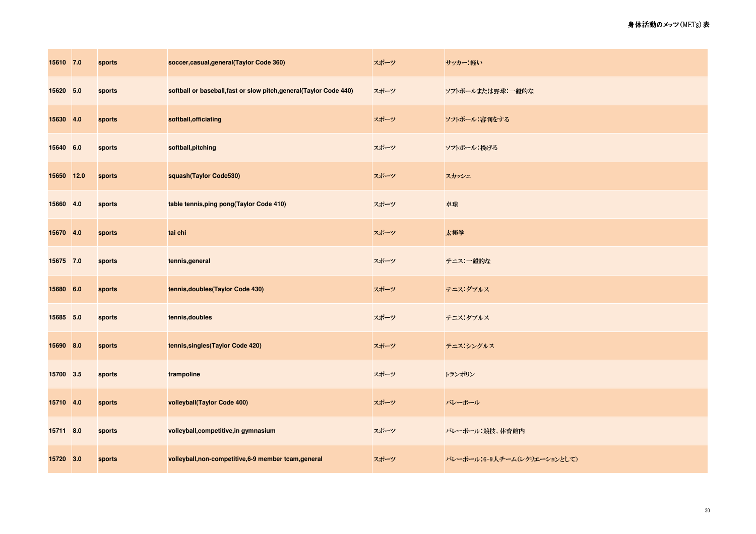| 15610 7.0  | sports | soccer, casual, general (Taylor Code 360)                           | スポーツ | サッカー:軽い                     |
|------------|--------|---------------------------------------------------------------------|------|-----------------------------|
| 15620 5.0  | sports | softball or baseball, fast or slow pitch, general (Taylor Code 440) | スポーツ | ソフトボールまたは野球:一般的な            |
| 15630 4.0  | sports | softball, officiating                                               | スポーツ | ソフトボール 審判をする                |
| 15640 6.0  | sports | softball, pitching                                                  | スポーツ | ソフトボール 投げる                  |
| 15650 12.0 | sports | squash(Taylor Code530)                                              | スポーツ | スカッシュ                       |
| 15660 4.0  | sports | table tennis, ping pong (Taylor Code 410)                           | スポーツ | 卓球                          |
| 15670 4.0  | sports | tai chi                                                             | スポーツ | 太極拳                         |
| 15675 7.0  | sports | tennis, general                                                     | スポーツ | テニス:一般的な                    |
| 15680 6.0  | sports | tennis, doubles (Taylor Code 430)                                   | スポーツ | テニス ダブルス                    |
| 15685 5.0  | sports | tennis, doubles                                                     | スポーツ | テニス:ダブルス                    |
| 15690 8.0  | sports | tennis, singles (Taylor Code 420)                                   | スポーツ | テニス・シングルス                   |
| 15700 3.5  | sports | trampoline                                                          | スポーツ | トランポリン                      |
| 15710 4.0  | sports | volleyball(Taylor Code 400)                                         | スポーツ | バレーボール                      |
| 15711 8.0  | sports | volleyball, competitive, in gymnasium                               | スポーツ | バレーボール:競技、体育館内              |
| 15720 3.0  | sports | volleyball, non-competitive, 6-9 member tcam, general               | スポーツ | バレーボール:6-9人チーム(レクリエーションとして) |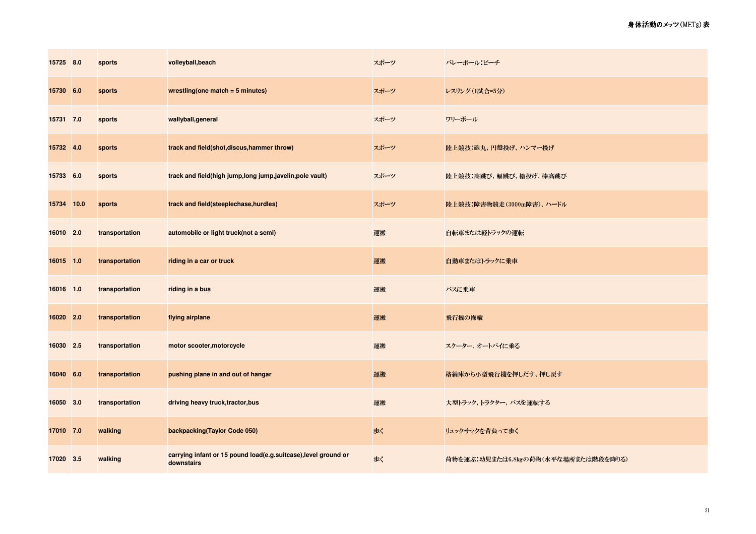| 15725 8.0  | sports         | volleyball, beach                                                             | スポーツ | バレーボール・ビーチ                          |
|------------|----------------|-------------------------------------------------------------------------------|------|-------------------------------------|
| 15730 6.0  | sports         | wrestling(one match $=$ 5 minutes)                                            | スポーツ | レスリング(1試合=5分)                       |
| 15731 7.0  | sports         | wallyball, general                                                            | スポーツ | ワリーボール                              |
| 15732 4.0  | sports         | track and field(shot, discus, hammer throw)                                   | スポーツ | 陸上競技:砲丸、円盤投げ、ハンマー投げ                 |
| 15733 6.0  | sports         | track and field(high jump,long jump,javelin,pole vault)                       | スポーツ | 陸上競技:高跳び、幅跳び、槍投げ、棒高跳び               |
| 15734 10.0 | sports         | track and field(steeplechase, hurdles)                                        | スポーツ | 陸上競技:障害物競走(3000m障害)、ハードル            |
| 16010 2.0  | transportation | automobile or light truck(not a semi)                                         | 運搬   | 自転車または軽トラックの運転                      |
| 16015 1.0  | transportation | riding in a car or truck                                                      | 運搬   | 自動車またはトラックに乗車                       |
| 16016 1.0  | transportation | riding in a bus                                                               | 運搬   | バスに乗車                               |
| 16020 2.0  | transportation | flying airplane                                                               | 運搬   | 飛行機の操縦                              |
| 16030 2.5  | transportation | motor scooter, motorcycle                                                     | 運搬   | スクーター、オートバイに乗る                      |
| 16040 6.0  | transportation | pushing plane in and out of hangar                                            | 運搬   | 格納庫から小型飛行機を押しだす、押し戻す                |
| 16050 3.0  | transportation | driving heavy truck, tractor, bus                                             | 運搬   | 大型トラック、トラクター、バスを運転する                |
| 17010 7.0  | walking        | backpacking(Taylor Code 050)                                                  | 歩く   | リュックサックを背負って歩く                      |
| 17020 3.5  | walking        | carrying infant or 15 pound load(e.g.suitcase), level ground or<br>downstairs | 歩く   | 荷物を運ぶ:幼児または6.8kgの荷物(水平な場所または階段を降りる) |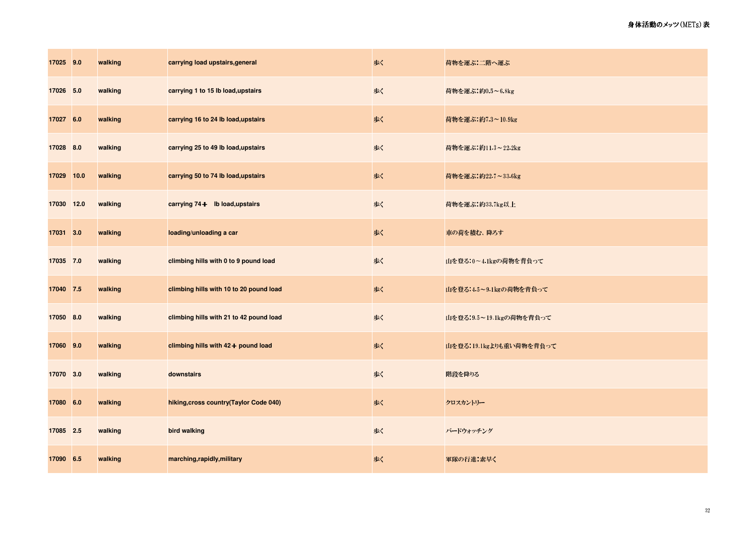| 17025 9.0  | walking | carrying load upstairs, general         | 歩く | 荷物を運ぶ:二階へ運ぶ             |
|------------|---------|-----------------------------------------|----|-------------------------|
| 17026 5.0  | walking | carrying 1 to 15 lb load, upstairs      | 歩く | 荷物を運ぶ:約0.5~6.8kg        |
| 17027 6.0  | walking | carrying 16 to 24 lb load, upstairs     | 歩く | 荷物を運ぶ:約7.3~10.9kg       |
| 17028 8.0  | walking | carrying 25 to 49 lb load, upstairs     | 歩く | 荷物を運ぶ:約11.3~22.2kg      |
| 17029 10.0 | walking | carrying 50 to 74 lb load, upstairs     | 歩く | 荷物を運ぶ:約22.7~33 6kg      |
| 17030 12.0 | walking | carrying 74+ Ib load, upstairs          | 歩く | 荷物を運ぶ:約33 7kg以上         |
| 17031 3.0  | walking | loading/unloading a car                 | 歩く | 車の荷を積む、降ろす              |
| 17035 7.0  | walking | climbing hills with 0 to 9 pound load   | 歩く | 山を登る:0~4.1kgの荷物を背負って    |
| 17040 7.5  | walking | climbing hills with 10 to 20 pound load | 歩く | 山を登る.4.5~9.1kgの荷物を背負って  |
| 17050 8.0  | walking | climbing hills with 21 to 42 pound load | 歩く | 山を登る:9.5~19.1kgの荷物を背負って |
| 17060 9.0  | walking | climbing hills with 42+ pound load      | 歩く | 山を登る:19 1kgよりも重い荷物を背負って |
| 17070 3.0  | walking | downstairs                              | 歩く | 階段を降りる                  |
| 17080 6.0  | walking | hiking, cross country (Taylor Code 040) | 歩く | クロスカントリー                |
| 17085 2.5  | walking | bird walking                            | 歩く | バードウォッチング               |
| 17090 6.5  | walking | marching, rapidly, military             | 歩く | 軍隊の行進:素早く               |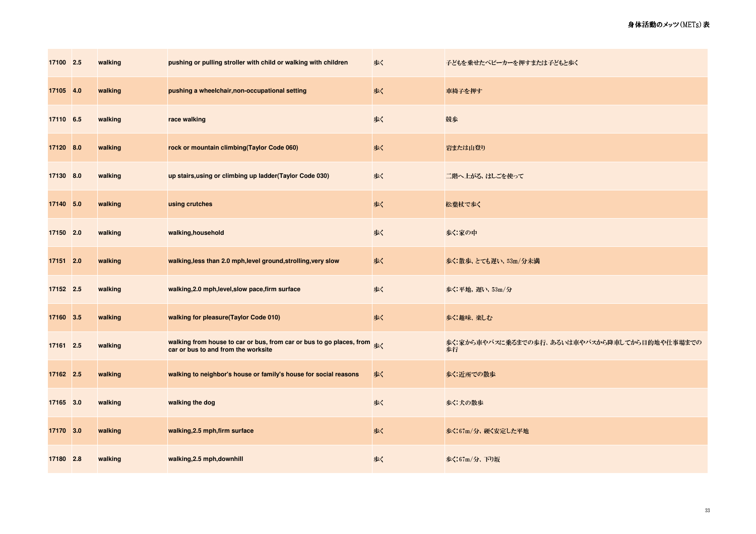| 17100 2.5 | walking | pushing or pulling stroller with child or walking with children                                                                      | 歩く | 子どもを乗せたべビーカーを押すまたは子どもと歩く                            |
|-----------|---------|--------------------------------------------------------------------------------------------------------------------------------------|----|-----------------------------------------------------|
| 17105 4.0 | walking | pushing a wheelchair, non-occupational setting                                                                                       | 歩く | 車椅子を押す                                              |
| 17110 6.5 | walking | race walking                                                                                                                         | 歩く | 競歩                                                  |
| 17120 8.0 | walking | rock or mountain climbing(Taylor Code 060)                                                                                           | 歩く | 岩または山登り                                             |
| 17130 8.0 | walking | up stairs, using or climbing up ladder (Taylor Code 030)                                                                             | 歩く | 二階へ上がる、はしごを使って                                      |
| 17140 5.0 | walking | using crutches                                                                                                                       | 水  | 松葉杖で歩く                                              |
| 17150 2.0 | walking | walking, household                                                                                                                   | 歩く | 歩く 家の中                                              |
| 17151 2.0 | walking | walking, less than 2.0 mph, level ground, strolling, very slow                                                                       | 歩く | 歩く 散歩、とても遅い、53m/分未満                                 |
| 17152 2.5 | walking | walking, 2.0 mph, level, slow pace, firm surface                                                                                     | 歩く | 歩く:平地、遅い、53m/分                                      |
| 17160 3.5 | walking | walking for pleasure(Taylor Code 010)                                                                                                | 歩く | 歩く 趣味 楽しむ                                           |
| 17161 2.5 | walking | walking from house to car or bus, from car or bus to go places, from $\frac{1}{\mathcal{B}<}$<br>car or bus to and from the worksite |    | 歩く.家から車やバスに乗るまでの歩行、あるいは車やバスから降車してから目的地や仕事場までの<br>歩行 |
| 17162 2.5 | walking | walking to neighbor's house or family's house for social reasons                                                                     | 歩く | 歩く近所での散歩                                            |
| 17165 3.0 | walking | walking the dog                                                                                                                      | 歩く | 歩く 犬の散歩                                             |
| 17170 3.0 | walking | walking, 2.5 mph, firm surface                                                                                                       | 歩く | 歩く:67m/分、硬く安定した平地                                   |
| 17180 2.8 | walking | walking, 2.5 mph, downhill                                                                                                           | 歩く | 歩く:67m/分、下り坂                                        |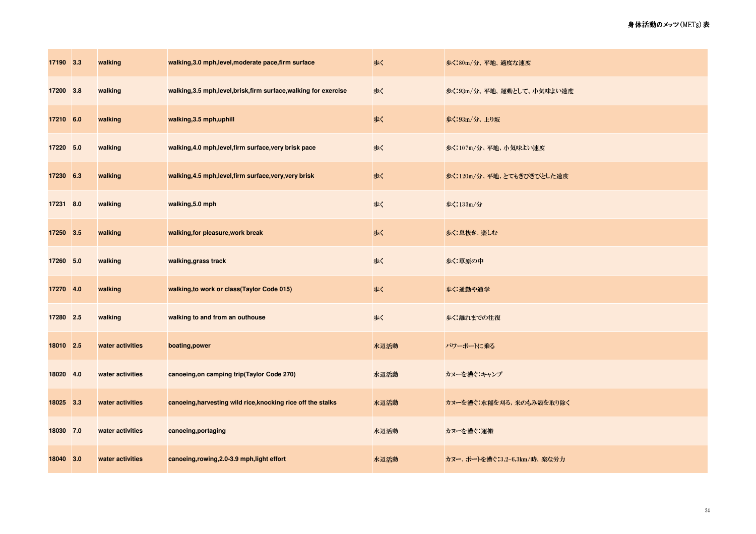| 17190 3.3 | walking          | walking, 3.0 mph, level, moderate pace, firm surface               | 歩く   | 歩く:80m/分、平地、適度な速度           |
|-----------|------------------|--------------------------------------------------------------------|------|-----------------------------|
| 17200 3.8 | walking          | walking, 3.5 mph, level, brisk, firm surface, walking for exercise | 歩く   | 歩く:93m/分、平地、運動として、小気味よい速度   |
| 17210 6.0 | walking          | walking, 3.5 mph, uphill                                           | 歩く   | 歩く:93m/分、上り坂                |
| 17220 5.0 | walking          | walking, 4.0 mph, level, firm surface, very brisk pace             | 歩く   | 歩く:107m/分、平地、小気味よい速度        |
| 17230 6.3 | walking          | walking, 4.5 mph, level, firm surface, very, very brisk            | 歩く   | 歩く:120m/分、平地、とてもきびきびとした速度   |
| 17231 8.0 | walking          | walking, 5.0 mph                                                   | 歩く   | 歩く:133m/分                   |
| 17250 3.5 | walking          | walking, for pleasure, work break                                  | 歩く   | 歩く息抜き、楽しむ                   |
| 17260 5.0 | walking          | walking, grass track                                               | 歩く   | 歩く 草原の中                     |
| 17270 4.0 | walking          | walking, to work or class(Taylor Code 015)                         | 歩く   | 歩く 通勤や通学                    |
| 17280 2.5 | walking          | walking to and from an outhouse                                    | 歩く   | 歩く:離れまでの往復                  |
| 18010 2.5 | water activities | boating, power                                                     | 水辺活動 | パワーボートに乗る                   |
| 18020 4.0 | water activities | canoeing, on camping trip(Taylor Code 270)                         | 水辺活動 | カヌーを漕ぐ キャンプ                 |
| 18025 3.3 | water activities | canoeing, harvesting wild rice, knocking rice off the stalks       | 水辺活動 | カヌーを漕ぐ:水稲を刈る、米のもみ殻を取り除く     |
| 18030 7.0 | water activities | canoeing, portaging                                                | 水辺活動 | カヌーを漕ぐ 運搬                   |
| 18040 3.0 | water activities | canoeing, rowing, 2.0-3.9 mph, light effort                        | 水辺活動 | カヌー、ボートを漕ぐ:3.2-6.3km/時、楽な労力 |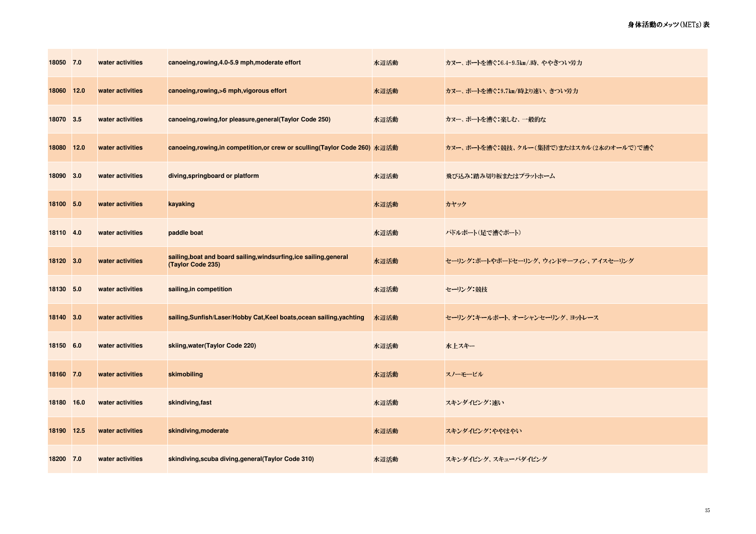| 18050 7.0  | water activities | canoeing, rowing, 4.0-5.9 mph, moderate effort                                          | 水辺活動 | カヌー、ボートを漕ぐ:6.4-9.5㎞/時、ややきつい労力            |
|------------|------------------|-----------------------------------------------------------------------------------------|------|------------------------------------------|
| 18060 12.0 | water activities | canoeing, rowing, >6 mph, vigorous effort                                               | 水辺活動 | カヌー、ボートを漕ぐ:9.7km/時より速い、きつい労力             |
| 18070 3.5  | water activities | canoeing, rowing, for pleasure, general (Taylor Code 250)                               | 水辺活動 | カヌー、ボートを漕ぐ:楽しむ、一般的な                      |
| 18080 12.0 | water activities | canoeing,rowing,in competition,or crew or sculling(Taylor Code 260) 水辺活動                |      | カヌー、ボートを漕ぐ:競技、クルー(集団で)またはスカル(2本のオールで)で漕ぐ |
| 18090 3.0  | water activities | diving, springboard or platform                                                         | 水辺活動 | 飛び込み:踏み切り板またはプラットホーム                     |
| 18100 5.0  | water activities | kayaking                                                                                | 水辺活動 | カヤック                                     |
| 18110 4.0  | water activities | paddle boat                                                                             | 水辺活動 | パドルボート(足で漕ぐボート)                          |
| 18120 3.0  | water activities | sailing, boat and board sailing, windsurfing, ice sailing, general<br>(Taylor Code 235) | 水辺活動 | セーリング:ボートやボードセーリング、ウィンドサーフィン、アイスセーリング    |
| 18130 5.0  | water activities | sailing, in competition                                                                 | 水辺活動 | セーリング 競技                                 |
| 18140 3.0  | water activities | sailing, Sunfish/Laser/Hobby Cat, Keel boats, ocean sailing, yachting                   | 水辺活動 | セーリング:キールボート、オーシャンセーリング、ヨットレース           |
| 18150 6.0  | water activities | skiing, water (Taylor Code 220)                                                         | 水辺活動 | 水上スキー                                    |
| 18160 7.0  | water activities | skimobiling                                                                             | 水辺活動 | スノーモービル                                  |
| 18180 16.0 | water activities | skindiving, fast                                                                        | 水辺活動 | スキンダイビング:速い                              |
| 18190 12.5 | water activities | skindiving, moderate                                                                    | 水辺活動 | スキンダイビング ややはやい                           |
| 18200 7.0  | water activities | skindiving, scuba diving, general (Taylor Code 310)                                     | 水辺活動 | スキンダイビング、スキューバダイビング                      |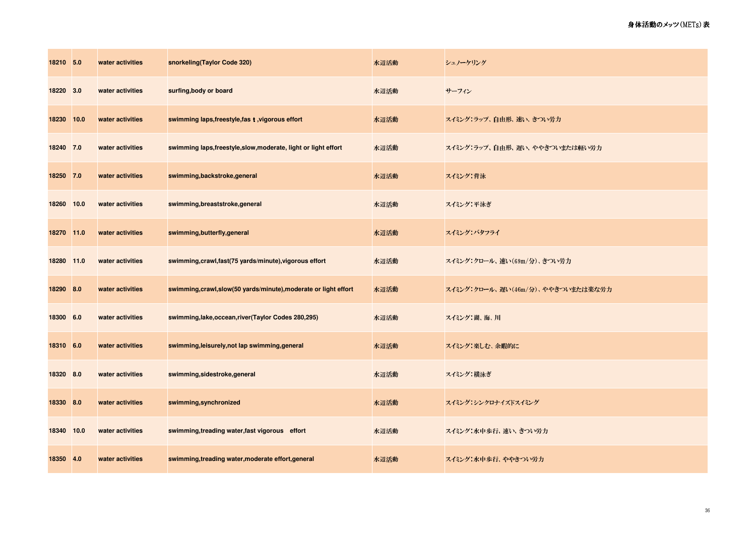| 18210 5.0  |      | water activities | snorkeling(Taylor Code 320)                                      | 水辺活動 | シュノーケリング                          |
|------------|------|------------------|------------------------------------------------------------------|------|-----------------------------------|
| 18220      | 3.0  | water activities | surfing, body or board                                           | 水辺活動 | サーフィン                             |
| 18230      | 10.0 | water activities | swimming laps, freestyle, fas t, vigorous effort                 | 水辺活動 | スイミング:ラップ、自由形、速い、きつい労力            |
| 18240 7.0  |      | water activities | swimming laps, freestyle, slow, moderate, light or light effort  | 水辺活動 | スイミング:ラップ、自由形、遅い、ややきついまたは軽い労力     |
| 18250 7.0  |      | water activities | swimming,backstroke,general                                      | 水辺活動 | スペング:背泳                           |
| 18260      | 10.0 | water activities | swimming, breaststroke, general                                  | 水辺活動 | スイミング:平泳ぎ                         |
| 18270 11.0 |      | water activities | swimming, butterfly, general                                     | 水辺活動 | スイミング・バタフライ                       |
| 18280 11.0 |      | water activities | swimming, crawl, fast (75 yards/minute), vigorous effort         | 水辺活動 | スイミング:クロール、速い(69m/分)、きつい労力        |
| 18290 8.0  |      | water activities | swimming, crawl, slow(50 yards/minute), moderate or light effort | 水辺活動 | スイミング クロール、遅い(46m/分)、ややきついまたは楽な労力 |
| 18300 6.0  |      | water activities | swimming, lake, occean, river (Taylor Codes 280, 295)            | 水辺活動 | スペング:湖、海、川                        |
| 18310 6.0  |      | water activities | swimming, leisurely, not lap swimming, general                   | 水辺活動 | スイミング:楽しむ、 余暇的に                   |
| 18320 8.0  |      | water activities | swimming, sidestroke, general                                    | 水辺活動 | スイミング:横泳ぎ                         |
| 18330 8.0  |      | water activities | swimming, synchronized                                           | 水辺活動 | スイミング:シンクロナイズドスイミング               |
| 18340 10.0 |      | water activities | swimming, treading water, fast vigorous effort                   | 水辺活動 | スイミング:水中歩行、速い、きつい労力               |
| 18350 4.0  |      | water activities | swimming, treading water, moderate effort, general               | 水辺活動 | スイミング:水中歩行、ややきつい労力                |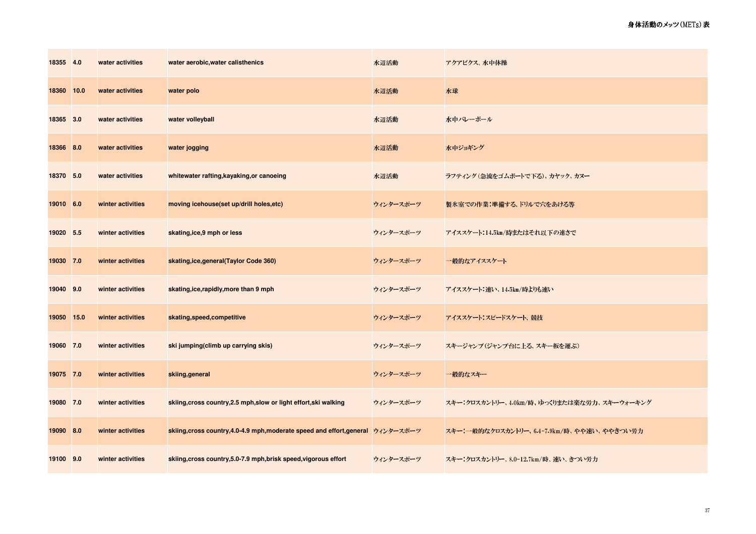| 18355 4.0  | water activities  | water aerobic, water calisthenics                                                | 水辺活動      | アクアビクス、水中体操                                |
|------------|-------------------|----------------------------------------------------------------------------------|-----------|--------------------------------------------|
| 18360 10.0 | water activities  | water polo                                                                       | 水辺活動      | 水球                                         |
| 18365 3.0  | water activities  | water volleyball                                                                 | 水辺活動      | 水中バレーボール                                   |
| 18366 8.0  | water activities  | water jogging                                                                    | 水辺活動      | 水中ジョギング                                    |
| 18370 5.0  | water activities  | whitewater rafting, kayaking, or canoeing                                        | 水辺活動      | ラフティング(急流をゴムボートで下る)、カヤック、カヌー               |
| 19010 6.0  | winter activities | moving icehouse(set up/drill holes,etc)                                          | ウィンタースポーツ | 製氷室での作業:準備する、ドリルで穴をあける等                    |
| 19020 5.5  | winter activities | skating, ice, 9 mph or less                                                      | ウィンタースポーツ | アイススケート:14.5km/時またはそれ以下の速さで                |
| 19030 7.0  | winter activities | skating, ice, general (Taylor Code 360)                                          | ウィンタースポーツ | 一般的なアイススケート                                |
| 19040 9.0  | winter activities | skating, ice, rapidly, more than 9 mph                                           | ウィンタースポーツ | アイススケート:速い、14.5km/時よりも速い                   |
| 19050 15.0 | winter activities | skating, speed, competitive                                                      | ウィンタースポーツ | アイススケート:スピードスケート、競技                        |
| 19060 7.0  | winter activities | ski jumping(climb up carrying skis)                                              | ウィンタースポーツ | スキージャンプ(ジャンプ台に上る、スキー板を運ぶ)                  |
| 19075 7.0  | winter activities | skiing, general                                                                  | ウィンタースポーツ | 一般的なスキー                                    |
| 19080 7.0  | winter activities | skiing, cross country, 2.5 mph, slow or light effort, ski walking                | ウィンタースポーツ | スキー:クロスカントリー、4 0km/時、ゆっくりまたは楽な労力、スキーウォーキング |
| 19090 8.0  | winter activities | skiing, cross country, 4.0-4.9 mph, moderate speed and effort, general ウィンタースポーツ |           | スキー:一般的なクロスカントリー、64-7.9km/時、やや速い、ややきつい労力   |
| 19100 9.0  | winter activities | skiing, cross country, 5.0-7.9 mph, brisk speed, vigorous effort                 | ウィンタースポーツ | スキー:クロスカントリー、80-12.7km/時、速い、きつい労力          |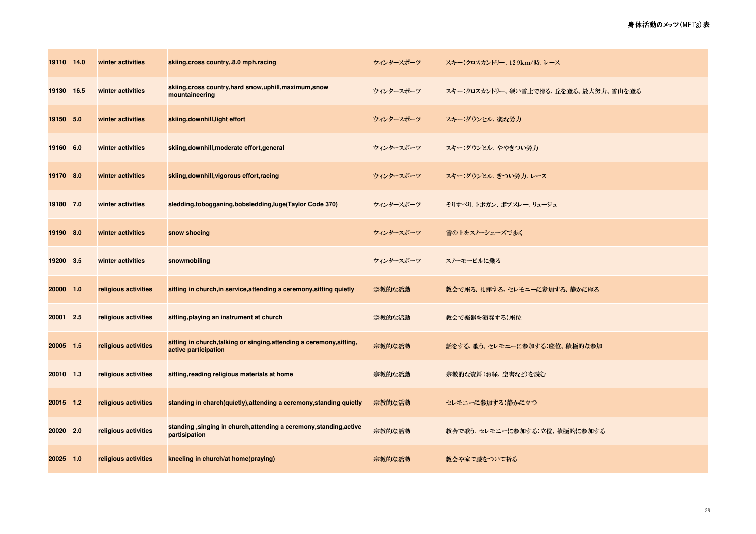| 19110 14.0 |     | winter activities    | skiing, cross country, 8.0 mph, racing                                                        | ウィンタースポーツ | スキー:クロスカントリー、12.9km/時、レース            |
|------------|-----|----------------------|-----------------------------------------------------------------------------------------------|-----------|--------------------------------------|
| 19130 16.5 |     | winter activities    | skiing, cross country, hard snow, uphill, maximum, snow<br>mountaineering                     | ウィンタースポーツ | スキー:クロスカントリー、硬い雪上で滑る、丘を登る、最大努力、雪山を登る |
| 19150 5.0  |     | winter activities    | skiing, downhill, light effort                                                                | ウィンタースポーツ | スキー・ダウンヒル、楽な労力                       |
| 19160      | 6.0 | winter activities    | skiing, downhill, moderate effort, general                                                    | ウィンタースポーツ | スキー・ダウンヒル、ややきつい労力                    |
| 19170      | 8.0 | winter activities    | skiing, downhill, vigorous effort, racing                                                     | ウィンタースポーツ | スキー・ダウンヒル、きつい労力、レース                  |
| 19180 7.0  |     | winter activities    | sledding, tobogganing, bobsledding, luge (Taylor Code 370)                                    | ウィンタースポーツ | そりすべり、トボガン、ボブスレー、リュージュ               |
| 19190 8.0  |     | winter activities    | snow shoeing                                                                                  | ウィンタースポーツ | 雪の上をスノーシューズで歩く                       |
| 19200 3.5  |     | winter activities    | snowmobiling                                                                                  | ウィンタースポーツ | スノーモービルに乗る                           |
| 20000 1.0  |     | religious activities | sitting in church, in service, attending a ceremony, sitting quietly                          | 宗教的な活動    | 教会で座る、礼拝する、セレモニーに参加する、静かに座る          |
| 20001      | 2.5 | religious activities | sitting, playing an instrument at church                                                      | 宗教的な活動    | 教会で楽器を演奏する 座位                        |
| 20005 1.5  |     | religious activities | sitting in church, talking or singing, attending a ceremony, sitting,<br>active participation | 宗教的な活動    | 話をする、歌う、セレモニーに参加する:座位、積極的な参加         |
| 20010 1.3  |     | religious activities | sitting, reading religious materials at home                                                  | 宗教的な活動    | 宗教的な資料(お経、聖書など)を読む                   |
| 20015 1.2  |     | religious activities | standing in charch(quietly), attending a ceremony, standing quietly                           | 宗教的な活動    | セレモニーに参加する:静かに立つ                     |
| 20020      | 2.0 | religious activities | standing, singing in church, attending a ceremony, standing, active<br>partisipation          | 宗教的な活動    | 教会で歌う、セレモニーに参加する:立位、積極的に参加する         |
| 20025 1.0  |     | religious activities | kneeling in church/at home(praying)                                                           | 宗教的な活動    | 教会や家で膝をついて祈る                         |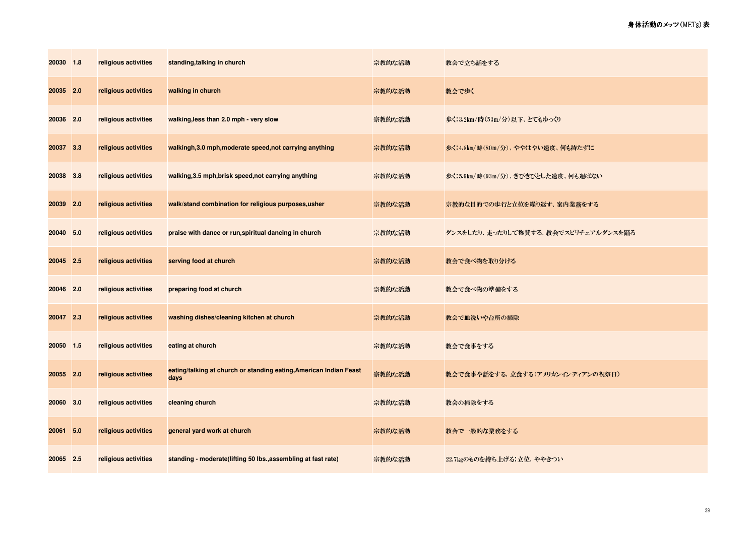| 20030 1.8 |     | religious activities | standing, talking in church                                                | 宗教的な活動 | 教会で立ち話をする                           |
|-----------|-----|----------------------|----------------------------------------------------------------------------|--------|-------------------------------------|
| 20035 2.0 |     | religious activities | walking in church                                                          | 宗教的な活動 | 教会で歩く                               |
| 20036 2.0 |     | religious activities | walking, less than 2.0 mph - very slow                                     | 宗教的な活動 | 歩く:3.2km/時(53m/分)以下、とてもゆっくり         |
| 20037 3.3 |     | religious activities | walkingh, 3.0 mph, moderate speed, not carrying anything                   | 宗教的な活動 | 歩く:4.8km/時(80m/分)、ややはやい速度、何も持たずに    |
| 20038 3.8 |     | religious activities | walking, 3.5 mph, brisk speed, not carrying anything                       | 宗教的な活動 | 歩く:5.6km/時(93m/分)、きびきびとした速度、何も運ばない  |
| 20039     | 2.0 | religious activities | walk/stand combination for religious purposes,usher                        | 宗教的な活動 | 宗教的な目的での歩行と立位を繰り返す、案内業務をする          |
| 20040 5.0 |     | religious activities | praise with dance or run, spiritual dancing in church                      | 宗教的な活動 | ダンスをしたり、走ったりして称賛する、教会でスピリチュアルダンスを踊る |
| 20045 2.5 |     | religious activities | serving food at church                                                     | 宗教的な活動 | 教会で食べ物を取り分ける                        |
| 20046 2.0 |     | religious activities | preparing food at church                                                   | 宗教的な活動 | 教会で食べ物の準備をする                        |
| 20047 2.3 |     | religious activities | washing dishes/cleaning kitchen at church                                  | 宗教的な活動 | 教会で皿洗いや台所の掃除                        |
| 20050 1.5 |     | religious activities | eating at church                                                           | 宗教的な活動 | 教会で食事をする                            |
| 20055 2.0 |     | religious activities | eating/talking at church or standing eating, American Indian Feast<br>days | 宗教的な活動 | 教会で食事や話をする、立食する(アメリカンインディアンの祝祭日)    |
| 20060 3.0 |     | religious activities | cleaning church                                                            | 宗教的な活動 | 教会の掃除をする                            |
| 20061     | 5.0 | religious activities | general yard work at church                                                | 宗教的な活動 | 教会で一般的な業務をする                        |
| 20065 2.5 |     | religious activities | standing - moderate(lifting 50 lbs., assembling at fast rate)              | 宗教的な活動 | 22.7kgのものを持ち上げる:立位、ややきつい            |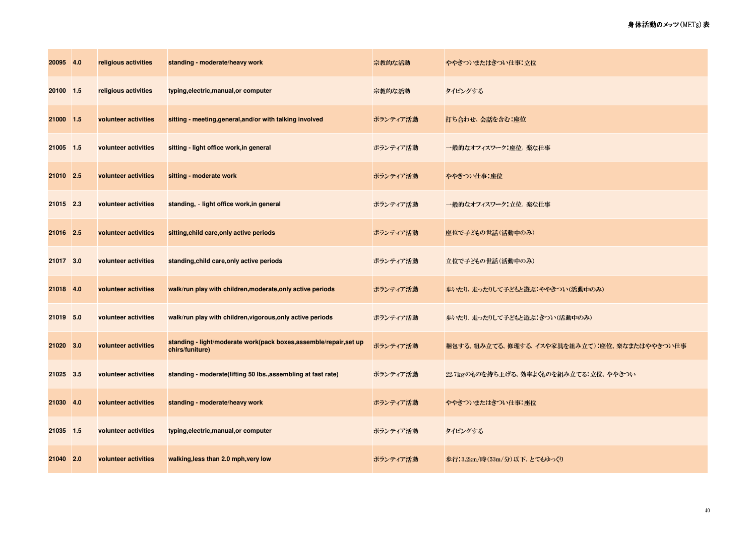| 20095 4.0 |     | religious activities | standing - moderate/heavy work                                                      | 宗教的な活動   | ややきついまたはきつい仕事:立位                            |
|-----------|-----|----------------------|-------------------------------------------------------------------------------------|----------|---------------------------------------------|
| 20100 1.5 |     | religious activities | typing, electric, manual, or computer                                               | 宗教的な活動   | タイピングする                                     |
| 21000 1.5 |     | volunteer activities | sitting - meeting, general, and/or with talking involved                            | ボランティア活動 | 打ち合わせ、会話を含む:座位                              |
| 21005 1.5 |     | volunteer activities | sitting - light office work, in general                                             | ボランティア活動 | 一般的なオフィスワーク:座位、楽な仕事                         |
| 21010     | 2.5 | volunteer activities | sitting - moderate work                                                             | ボランティア活動 | ややきつい仕事:座位                                  |
| 21015 2.3 |     | volunteer activities | standing, light office work, in general                                             | ボランティア活動 | 一般的なオフィスワーク:立位、楽な仕事                         |
| 21016 2.5 |     | volunteer activities | sitting, child care, only active periods                                            | ボランティア活動 | 座位で子どもの世話(活動中のみ)                            |
| 21017 3.0 |     | volunteer activities | standing, child care, only active periods                                           | ボランティア活動 | 立位で子どもの世話(活動中のみ)                            |
| 21018 4.0 |     | volunteer activities | walk/run play with children, moderate, only active periods                          | ボランティア活動 | 歩いたり、走ったりして子どもと遊ぶ:ややきつい(活動中のみ)              |
| 21019 5.0 |     | volunteer activities | walk/run play with children, vigorous, only active periods                          | ボランティア活動 | 歩いたり、走ったりして子どもと遊ぶ:きつい(活動中のみ)                |
| 21020     | 3.0 | volunteer activities | standing - light/moderate work(pack boxes,assemble/repair,set up<br>chirs/funiture) | ボランティア活動 | 梱包する、組み立てる、修理する、イスや家具を組み立て):座位、楽なまたはややきつい仕事 |
| 21025 3.5 |     | volunteer activities | standing - moderate(lifting 50 lbs., assembling at fast rate)                       | ボランティア活動 | 22.7kgのものを持ち上げる、効率よくものを組み立てる.立位、ややきつい       |
| 21030     | 4.0 | volunteer activities | standing - moderate/heavy work                                                      | ボランティア活動 | ややきついまたはきつい仕事:座位                            |
| 21035 1.5 |     | volunteer activities | typing, electric, manual, or computer                                               | ボランティア活動 | タイピングする                                     |
| 21040 2.0 |     | volunteer activities | walking, less than 2.0 mph, very low                                                | ボランティア活動 | 歩行:3.2km/時(53m/分)以下、とてもゆっくり                 |